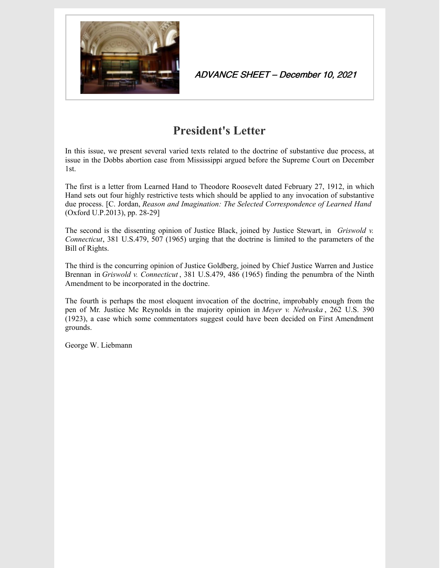

# **President's Letter**

In this issue, we present several varied texts related to the doctrine of substantive due process, at issue in the Dobbs abortion case from Mississippi argued before the Supreme Court on December 1st.

The first is a letter from Learned Hand to Theodore Roosevelt dated February 27, 1912, in which Hand sets out four highly restrictive tests which should be applied to any invocation of substantive due process. [C. Jordan, *Reason and Imagination: The Selected Correspondence of Learned Hand* (Oxford U.P.2013), pp. 28-29]

The second is the dissenting opinion of Justice Black, joined by Justice Stewart, in *Griswold v. Connecticut*, 381 U.S.479, 507 (1965) urging that the doctrine is limited to the parameters of the Bill of Rights.

The third is the concurring opinion of Justice Goldberg, joined by Chief Justice Warren and Justice Brennan in *Griswold v. Connecticut* , 381 U.S.479, 486 (1965) finding the penumbra of the Ninth Amendment to be incorporated in the doctrine.

The fourth is perhaps the most eloquent invocation of the doctrine, improbably enough from the pen of Mr. Justice Mc Reynolds in the majority opinion in *Meyer v. Nebraska* , 262 U.S. 390 (1923), a case which some commentators suggest could have been decided on First Amendment grounds.

George W. Liebmann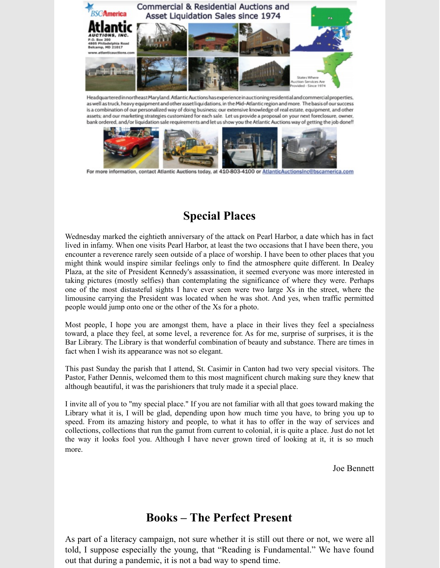

For more information, contact Atlantic Auctions today, at 410-803-4100 or AtlanticAuctionsInc@bscamerica.com

# **Special Places**

Wednesday marked the eightieth anniversary of the attack on Pearl Harbor, a date which has in fact lived in infamy. When one visits Pearl Harbor, at least the two occasions that I have been there, you encounter a reverence rarely seen outside of a place of worship. I have been to other places that you might think would inspire similar feelings only to find the atmosphere quite different. In Dealey Plaza, at the site of President Kennedy's assassination, it seemed everyone was more interested in taking pictures (mostly selfies) than contemplating the significance of where they were. Perhaps one of the most distasteful sights I have ever seen were two large Xs in the street, where the limousine carrying the President was located when he was shot. And yes, when traffic permitted people would jump onto one or the other of the Xs for a photo.

Most people, I hope you are amongst them, have a place in their lives they feel a specialness toward, a place they feel, at some level, a reverence for. As for me, surprise of surprises, it is the Bar Library. The Library is that wonderful combination of beauty and substance. There are times in fact when I wish its appearance was not so elegant.

This past Sunday the parish that I attend, St. Casimir in Canton had two very special visitors. The Pastor, Father Dennis, welcomed them to this most magnificent church making sure they knew that although beautiful, it was the parishioners that truly made it a special place.

I invite all of you to "my special place." If you are not familiar with all that goes toward making the Library what it is, I will be glad, depending upon how much time you have, to bring you up to speed. From its amazing history and people, to what it has to offer in the way of services and collections, collections that run the gamut from current to colonial, it is quite a place. Just do not let the way it looks fool you. Although I have never grown tired of looking at it, it is so much more.

Joe Bennett

# **Books – The Perfect Present**

As part of a literacy campaign, not sure whether it is still out there or not, we were all told, I suppose especially the young, that "Reading is Fundamental." We have found out that during a pandemic, it is not a bad way to spend time.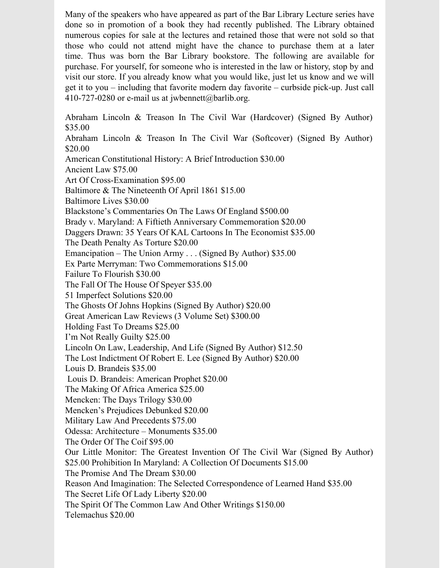Many of the speakers who have appeared as part of the Bar Library Lecture series have done so in promotion of a book they had recently published. The Library obtained numerous copies for sale at the lectures and retained those that were not sold so that those who could not attend might have the chance to purchase them at a later time. Thus was born the Bar Library bookstore. The following are available for purchase. For yourself, for someone who is interested in the law or history, stop by and visit our store. If you already know what you would like, just let us know and we will get it to you – including that favorite modern day favorite – curbside pick-up. Just call 410-727-0280 or e-mail us at [jwbennett@barlib.org.](https://webmail4.web.com/src/compose.php?send_to=jwbennett@barlib.org)

Abraham Lincoln & Treason In The Civil War (Hardcover) (Signed By Author) \$35.00 Abraham Lincoln & Treason In The Civil War (Softcover) (Signed By Author) \$20.00 American Constitutional History: A Brief Introduction \$30.00 Ancient Law \$75.00 Art Of Cross-Examination \$95.00 Baltimore & The Nineteenth Of April 1861 \$15.00 Baltimore Lives \$30.00 Blackstone's Commentaries On The Laws Of England \$500.00 Brady v. Maryland: A Fiftieth Anniversary Commemoration \$20.00 Daggers Drawn: 35 Years Of KAL Cartoons In The Economist \$35.00 The Death Penalty As Torture \$20.00 Emancipation – The Union Army . . . (Signed By Author) \$35.00 Ex Parte Merryman: Two Commemorations \$15.00 Failure To Flourish \$30.00 The Fall Of The House Of Speyer \$35.00 51 Imperfect Solutions \$20.00 The Ghosts Of Johns Hopkins (Signed By Author) \$20.00 Great American Law Reviews (3 Volume Set) \$300.00 Holding Fast To Dreams \$25.00 I'm Not Really Guilty \$25.00 Lincoln On Law, Leadership, And Life (Signed By Author) \$12.50 The Lost Indictment Of Robert E. Lee (Signed By Author) \$20.00 Louis D. Brandeis \$35.00 Louis D. Brandeis: American Prophet \$20.00 The Making Of Africa America \$25.00 Mencken: The Days Trilogy \$30.00 Mencken's Prejudices Debunked \$20.00 Military Law And Precedents \$75.00 Odessa: Architecture – Monuments \$35.00 The Order Of The Coif \$95.00 Our Little Monitor: The Greatest Invention Of The Civil War (Signed By Author) \$25.00 Prohibition In Maryland: A Collection Of Documents \$15.00 The Promise And The Dream \$30.00 Reason And Imagination: The Selected Correspondence of Learned Hand \$35.00 The Secret Life Of Lady Liberty \$20.00 The Spirit Of The Common Law And Other Writings \$150.00 Telemachus \$20.00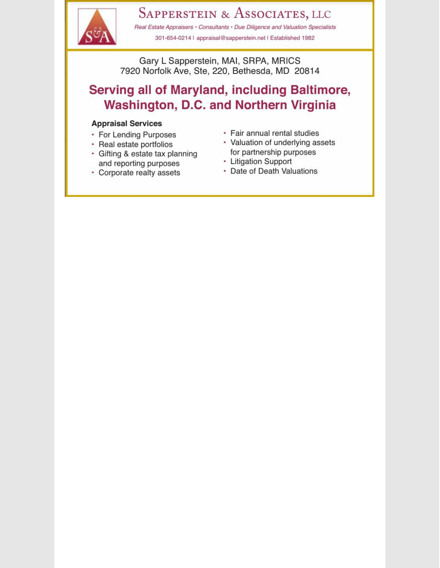

# SAPPERSTEIN & ASSOCIATES, LLC

Real Estate Appraisers • Consultants • Due Diligence and Valuation Specialists 301-654-0214 | appraisal@sapperstein.net | Established 1982

Gary L Sapperstein, MAI, SRPA, MRICS 7920 Norfolk Ave, Ste, 220, Bethesda, MD 20814

# **Serving all of Maryland, including Baltimore, Washington, D.C. and Northern Virginia**

## **Appraisal Services**

- For Lending Purposes
- Real estate portfolios
- · Gifting & estate tax planning and reporting purposes
- Corporate realty assets
- Fair annual rental studies
- Valuation of underlying assets for partnership purposes
- Litigation Support
- Date of Death Valuations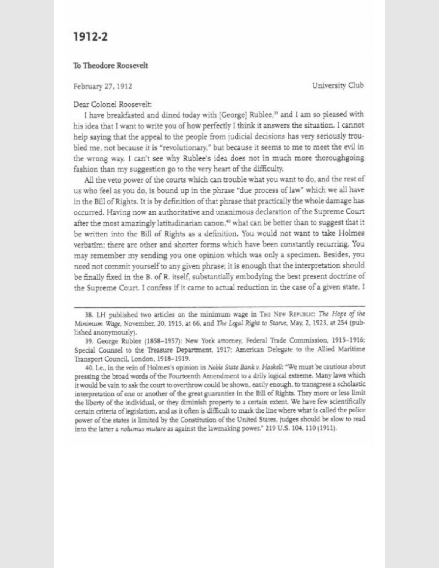# 1912-2

## To Theodore Roosevelt

February 27, 1912

University Club

#### Dear Colonel Roosevelt:

I have breakfasted and dined today with [George] Rublee,<sup>19</sup> and I am so pleased with his idea that I want to write you of how perfectly I think it answers the situation. I cannot help saying that the appeal to the people from judicial decisions has very seriously troubled me, not because it is "revolutionary," but because it seems to me to meet the evil in the wrong way. I can't see why Rublee's idea does not in much more thoroughgoing fashion than my suggestion go to the very heart of the difficulty.

All the veto power of the courts which can trouble what you want to do, and the rest of us who feel as you do, is bound up in the phrase "due process of law" which we all have in the Bill of Rights. It is by definition of that phrase that practically the whole damage has occurred. Having now an authoritative and unanimous declaration of the Supreme Court after the most amazingly latitudinarian canon,<sup>40</sup> what can be better than to suggest that it be written into the Bill of Rights as a definition. You would not want to take Holmes verbatim; there are other and shorter forms which have been constantly recurring. You may remember my sending you one opinion which was only a specimen. Besides, you need not commit yourself to any given phrase; it is enough that the interpretation should be finally fixed in the B. of R. itself, substantially embodying the best present doctrine of the Supreme Court. I confess if it came to actual reduction in the case of a given state, I

<sup>38.</sup> LH published two articles on the minimum wage in THE NEW REPUBLIC: The Hope of the Minimum Wage, November, 20, 1915, at 66, and The Legal Right to Starve, May, 2, 1923, at 254 (published anonymously).

<sup>39.</sup> George Rublee (1858-1957): New York attorney, Federal Trade Commission, 1915-1916; Special Counsel to the Treasure Department, 1917; American Delegate to the Allied Maritime Transport Council, London, 1918-1919.

<sup>40.</sup> I.e., in the vein of Holmes's opinion in Noble State Bank v. Haskell: "We must be cautious about pressing the broad words of the Fourteenth Amendment to a drily logical extreme. Many laws which it would be vain to ask the court to overthrow could be shown, easily enough, to transgress a scholastic interpretation of one or another of the great guaranties in the Bill of Rights. They more or less limit the liberty of the individual, or they diminish property to a certain extent. We have few scientifically certain criteria of legislation, and as it often is difficult to mark the line where what is called the police power of the states is limited by the Constitution of the United States, judges should be slow to read into the latter a nolumus mutare as against the lawmaking power." 219 U.S. 104, 110 (1911).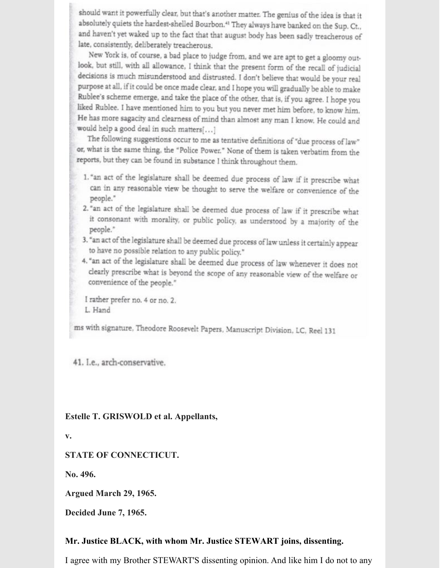should want it powerfully clear, but that's another matter. The genius of the idea is that it absolutely quiets the hardest-shelled Bourbon.<sup>41</sup> They always have banked on the Sup. Ct., and haven't yet waked up to the fact that that august body has been sadly treacherous of late, consistently, deliberately treacherous.

New York is, of course, a bad place to judge from, and we are apt to get a gloomy outlook, but still, with all allowance, I think that the present form of the recall of judicial decisions is much misunderstood and distrusted. I don't believe that would be your real purpose at all, if it could be once made clear, and I hope you will gradually be able to make Rublee's scheme emerge, and take the place of the other, that is, if you agree. I hope you liked Rublee. I have mentioned him to you but you never met him before, to know him. He has more sagacity and clearness of mind than almost any man I know. He could and would help a good deal in such matters[...]

The following suggestions occur to me as tentative definitions of "due process of law" or, what is the same thing, the "Police Power." None of them is taken verbatim from the reports, but they can be found in substance I think throughout them.

- 1. "an act of the legislature shall be deemed due process of law if it prescribe what can in any reasonable view be thought to serve the welfare or convenience of the people."
- 2. "an act of the legislature shall be deemed due process of law if it prescribe what it consonant with morality, or public policy, as understood by a majority of the people."
- 3. "an act of the legislature shall be deemed due process of law unless it certainly appear to have no possible relation to any public policy."
- 4. "an act of the legislature shall be deemed due process of law whenever it does not clearly prescribe what is beyond the scope of any reasonable view of the welfare or convenience of the people."

I rather prefer no. 4 or no. 2. L. Hand

ms with signature, Theodore Roosevelt Papers, Manuscript Division, LC, Reel 131

41. I.e., arch-conservative.

#### **Estelle T. GRISWOLD et al. Appellants,**

**v.**

# **STATE OF CONNECTICUT.**

**No. 496.**

**Argued March 29, 1965.**

**Decided June 7, 1965.**

### **Mr. Justice BLACK, with whom Mr. Justice STEWART joins, dissenting.**

I agree with my Brother STEWART'S dissenting opinion. And like him I do not to any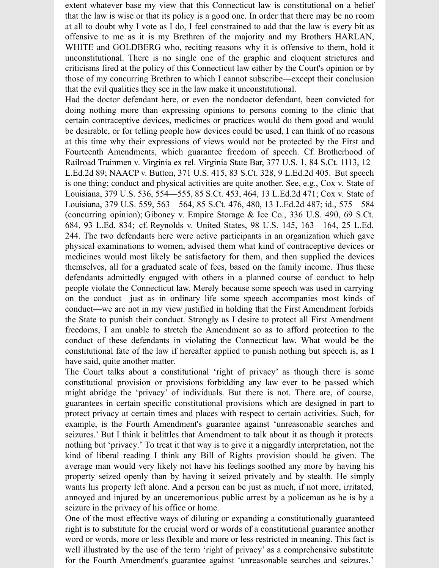extent whatever base my view that this Connecticut law is constitutional on a belief that the law is wise or that its policy is a good one. In order that there may be no room at all to doubt why I vote as I do, I feel constrained to add that the law is every bit as offensive to me as it is my Brethren of the majority and my Brothers HARLAN, WHITE and GOLDBERG who, reciting reasons why it is offensive to them, hold it unconstitutional. There is no single one of the graphic and eloquent strictures and criticisms fired at the policy of this Connecticut law either by the Court's opinion or by those of my concurring Brethren to which I cannot subscribe—except their conclusion that the evil qualities they see in the law make it unconstitutional.

Had the doctor defendant here, or even the nondoctor defendant, been convicted for doing nothing more than expressing opinions to persons coming to the clinic that certain contraceptive devices, medicines or practices would do them good and would be desirable, or for telling people how devices could be used, I can think of no reasons at this time why their expressions of views would not be protected by the First and Fourteenth [Amendments,](https://1.next.westlaw.com/Link/Document/FullText?findType=Y&serNum=1964124815&pubNum=708&originatingDoc=Id4c70e349c1d11d991d0cc6b54f12d4d&refType=RP&originationContext=document&transitionType=DocumentItem&ppcid=ab4473be1fc04f8a8f4519c725ecda91&contextData=(sc.UserEnteredCitation)) which guarantee freedom of speech. Cf. Brotherhood of Railroad Trainmen v. Virginia ex rel. Virginia State Bar, 377 U.S. 1, 84 S.Ct. 1113, 12 L.Ed.2d 89; [NAACP](https://1.next.westlaw.com/Link/Document/FullText?findType=Y&serNum=1963125272&pubNum=708&originatingDoc=Id4c70e349c1d11d991d0cc6b54f12d4d&refType=RP&originationContext=document&transitionType=DocumentItem&ppcid=ab4473be1fc04f8a8f4519c725ecda91&contextData=(sc.UserEnteredCitation)) v. Button, 371 U.S. 415, 83 S.Ct. 328, 9 L.Ed.2d 405. But speech is one thing; conduct and physical activities are quite another. See, e.g., Cox v. State of Louisiana, 379 U.S. 536, [554—555,](https://1.next.westlaw.com/Link/Document/FullText?findType=Y&serNum=1965125007&pubNum=708&originatingDoc=Id4c70e349c1d11d991d0cc6b54f12d4d&refType=RP&fi=co_pp_sp_708_480&originationContext=document&transitionType=DocumentItem&ppcid=ab4473be1fc04f8a8f4519c725ecda91&contextData=(sc.UserEnteredCitation)#co_pp_sp_708_480) 85 S.Ct. 453, 464, 13 [L.Ed.2d](https://1.next.westlaw.com/Link/Document/FullText?findType=Y&serNum=1965125006&pubNum=708&originatingDoc=Id4c70e349c1d11d991d0cc6b54f12d4d&refType=RP&fi=co_pp_sp_708_464&originationContext=document&transitionType=DocumentItem&ppcid=ab4473be1fc04f8a8f4519c725ecda91&contextData=(sc.UserEnteredCitation)#co_pp_sp_708_464) 471; Cox v. State of Louisiana, 379 U.S. 559, 563—564, 85 S.Ct. 476, 480, 13 L.Ed.2d 487; id., [575—584](https://1.next.westlaw.com/Link/Document/FullText?findType=Y&serNum=1965125007&originatingDoc=Id4c70e349c1d11d991d0cc6b54f12d4d&refType=RP&originationContext=document&transitionType=DocumentItem&ppcid=ab4473be1fc04f8a8f4519c725ecda91&contextData=(sc.UserEnteredCitation)) [\(concurring](https://1.next.westlaw.com/Link/Document/FullText?findType=Y&serNum=1949117033&pubNum=708&originatingDoc=Id4c70e349c1d11d991d0cc6b54f12d4d&refType=RP&originationContext=document&transitionType=DocumentItem&ppcid=ab4473be1fc04f8a8f4519c725ecda91&contextData=(sc.UserEnteredCitation)) opinion); Giboney v. Empire Storage & Ice Co., 336 U.S. 490, 69 S.Ct. 684, 93 L.Ed. 834; cf. Reynolds v. United States, 98 U.S. 145, 163—164, 25 L.Ed. 244. The two defendants here were active participants in an [organization](https://1.next.westlaw.com/Link/Document/FullText?findType=Y&serNum=1878199070&pubNum=780&originatingDoc=Id4c70e349c1d11d991d0cc6b54f12d4d&refType=RP&fi=co_pp_sp_780_163&originationContext=document&transitionType=DocumentItem&ppcid=ab4473be1fc04f8a8f4519c725ecda91&contextData=(sc.UserEnteredCitation)#co_pp_sp_780_163) which gave physical examinations to women, advised them what kind of contraceptive devices or medicines would most likely be satisfactory for them, and then supplied the devices themselves, all for a graduated scale of fees, based on the family income. Thus these defendants admittedly engaged with others in a planned course of conduct to help people violate the Connecticut law. Merely because some speech was used in carrying on the conduct—just as in ordinary life some speech accompanies most kinds of conduct—we are not in my view justified in holding that the First Amendment forbids the State to punish their conduct. Strongly as I desire to protect all First Amendment freedoms, I am unable to stretch the Amendment so as to afford protection to the conduct of these defendants in violating the Connecticut law. What would be the constitutional fate of the law if hereafter applied to punish nothing but speech is, as I have said, quite another matter.

The Court talks about a constitutional 'right of privacy' as though there is some constitutional provision or provisions forbidding any law ever to be passed which might abridge the 'privacy' of individuals. But there is not. There are, of course, guarantees in certain specific constitutional provisions which are designed in part to protect privacy at certain times and places with respect to certain activities. Such, for example, is the Fourth Amendment's guarantee against 'unreasonable searches and seizures.' But I think it belittles that Amendment to talk about it as though it protects nothing but 'privacy.' To treat it that way is to give it a niggardly interpretation, not the kind of liberal reading I think any Bill of Rights provision should be given. The average man would very likely not have his feelings soothed any more by having his property seized openly than by having it seized privately and by stealth. He simply wants his property left alone. And a person can be just as much, if not more, irritated, annoyed and injured by an unceremonious public arrest by a policeman as he is by a seizure in the privacy of his office or home.

One of the most effective ways of diluting or expanding a constitutionally guaranteed right is to substitute for the crucial word or words of a constitutional guarantee another word or words, more or less flexible and more or less restricted in meaning. This fact is well illustrated by the use of the term 'right of privacy' as a comprehensive substitute for the Fourth Amendment's guarantee against 'unreasonable searches and seizures.'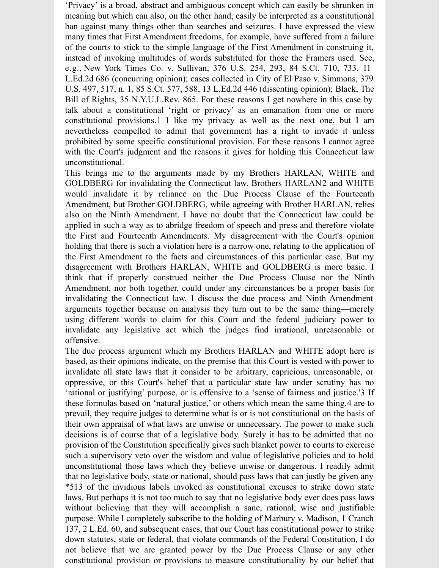'Privacy' is a broad, abstract and ambiguous concept which can easily be shrunken in meaning but which can also, on the other hand, easily be interpreted as a constitutional ban against many things other than searches and seizures. I have expressed the view many times that First Amendment freedoms, for example, have suffered from a failure of the courts to stick to the simple language of the First Amendment in construing it, instead of invoking multitudes of words substituted for those the Framers used. See, e.g., New York Times Co. v. Sullivan, 376 U.S. 254, 293, 84 S.Ct. 710, 733, 11 L.Ed.2d 686 [\(concurring](https://1.next.westlaw.com/Link/Document/FullText?findType=Y&serNum=1965100957&pubNum=708&originatingDoc=Id4c70e349c1d11d991d0cc6b54f12d4d&refType=RP&fi=co_pp_sp_708_588&originationContext=document&transitionType=DocumentItem&ppcid=ab4473be1fc04f8a8f4519c725ecda91&contextData=(sc.UserEnteredCitation)#co_pp_sp_708_588) opinion); cases collected in City of El Paso v. Simmons, 379 U.S. 497, 517, n. 1, 85 S.Ct. 577, 588, 13 L.Ed.2d 446 (dissenting opinion); Black, The Bill of Rights, 35 N.Y.U.L.Rev. 865. For these reasons I get nowhere in this case by talk about a constitutional 'right or privacy' as an emanation from one or more constitutional provisions.[1](https://1.next.westlaw.com/Document/Id4c70e349c1d11d991d0cc6b54f12d4d/View/FullText.html?transitionType=UniqueDocItem&contextData=(sc.Default)&userEnteredCitation=381+us+479#co_footnote_B01211965125098) I like my privacy as well as the next one, but I am nevertheless compelled to admit that government has a right to invade it unless prohibited by some specific constitutional provision. For these reasons I cannot agree with the Court's judgment and the reasons it gives for holding this Connecticut law unconstitutional.

This brings me to the arguments made by my Brothers HARLAN, WHITE and GOLDBERG for invalidating the Connecticut law. Brothers HARLAN[2](https://1.next.westlaw.com/Document/Id4c70e349c1d11d991d0cc6b54f12d4d/View/FullText.html?transitionType=UniqueDocItem&contextData=(sc.Default)&userEnteredCitation=381+us+479#co_footnote_B01321965125098) and WHITE would invalidate it by reliance on the Due Process Clause of the Fourteenth Amendment, but Brother GOLDBERG, while agreeing with Brother HARLAN, relies also on the Ninth Amendment. I have no doubt that the Connecticut law could be applied in such a way as to abridge freedom of speech and press and therefore violate the First and Fourteenth Amendments. My disagreement with the Court's opinion holding that there is such a violation here is a narrow one, relating to the application of the First Amendment to the facts and circumstances of this particular case. But my disagreement with Brothers HARLAN, WHITE and GOLDBERG is more basic. I think that if properly construed neither the Due Process Clause nor the Ninth Amendment, nor both together, could under any circumstances be a proper basis for invalidating the Connecticut law. I discuss the due process and Ninth Amendment arguments together because on analysis they turn out to be the same thing—merely using different words to claim for this Court and the federal judiciary power to invalidate any legislative act which the judges find irrational, unreasonable or offensive.

The due process argument which my Brothers HARLAN and WHITE adopt here is based, as their opinions indicate, on the premise that this Court is vested with power to invalidate all state laws that it consider to be arbitrary, capricious, unreasonable, or oppressive, or this Court's belief that a particular state law under scrutiny has no 'rational or justifying' purpose, or is offensive to a 'sense of fairness and justice.'[3](https://1.next.westlaw.com/Document/Id4c70e349c1d11d991d0cc6b54f12d4d/View/FullText.html?transitionType=UniqueDocItem&contextData=(sc.Default)&userEnteredCitation=381+us+479#co_footnote_B01431965125098) If these formulas based on 'natural justice,' or others which mean the same thing,[4](https://1.next.westlaw.com/Document/Id4c70e349c1d11d991d0cc6b54f12d4d/View/FullText.html?transitionType=UniqueDocItem&contextData=(sc.Default)&userEnteredCitation=381+us+479#co_footnote_B01541965125098) are to prevail, they require judges to determine what is or is not constitutional on the basis of their own appraisal of what laws are unwise or unnecessary. The power to make such decisions is of course that of a legislative body. Surely it has to be admitted that no provision of the Constitution specifically gives such blanket power to courts to exercise such a supervisory veto over the wisdom and value of legislative policies and to hold unconstitutional those laws which they believe unwise or dangerous. I readily admit that no legislative body, state or national, should pass laws that can justly be given any \*513 of the invidious labels invoked as constitutional excuses to strike down state laws. But perhaps it is not too much to say that no legislative body ever does pass laws without believing that they will accomplish a sane, rational, wise and justifiable purpose. While I completely subscribe to the holding of Marbury v. Madison, 1 Cranch 137, 2 L.Ed. 60, and subsequent cases, that our Court has [constitutional](https://1.next.westlaw.com/Link/Document/FullText?findType=Y&serNum=1801123932&pubNum=780&originatingDoc=Id4c70e349c1d11d991d0cc6b54f12d4d&refType=RP&originationContext=document&transitionType=DocumentItem&ppcid=ab4473be1fc04f8a8f4519c725ecda91&contextData=(sc.UserEnteredCitation)) power to strike down statutes, state or federal, that violate commands of the Federal Constitution, I do not believe that we are granted power by the Due Process Clause or any other constitutional provision or provisions to measure constitutionality by our belief that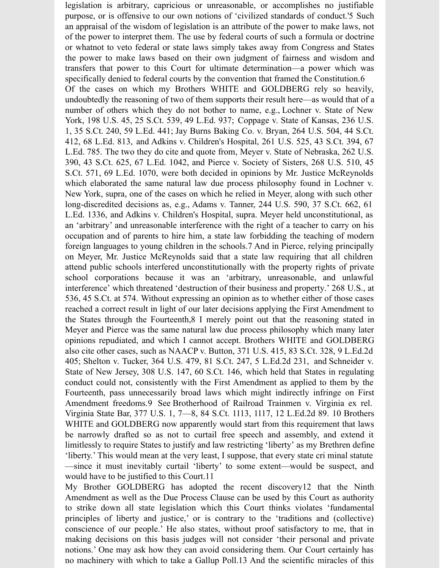legislation is arbitrary, capricious or unreasonable, or accomplishes no justifiable purpose, or is offensive to our own notions of 'civilized standards of conduct.['5](https://1.next.westlaw.com/Document/Id4c70e349c1d11d991d0cc6b54f12d4d/View/FullText.html?transitionType=UniqueDocItem&contextData=(sc.Default)&userEnteredCitation=381+us+479#co_footnote_B01651965125098) Such an appraisal of the wisdom of legislation is an attribute of the power to make laws, not of the power to interpret them. The use by federal courts of such a formula or doctrine or whatnot to veto federal or state laws simply takes away from Congress and States the power to make laws based on their own judgment of fairness and wisdom and transfers that power to this Court for ultimate determination—a power which was specifically denied to federal courts by the convention that framed the Constitution[.6](https://1.next.westlaw.com/Document/Id4c70e349c1d11d991d0cc6b54f12d4d/View/FullText.html?transitionType=UniqueDocItem&contextData=(sc.Default)&userEnteredCitation=381+us+479#co_footnote_B01761965125098) Of the cases on which my Brothers WHITE and GOLDBERG rely so heavily, undoubtedly the reasoning of two of them supports their result here—as would that of a number of others which they do not bother to name, e.g., Lochner v. State of New York, 198 U.S. 45, 25 S.Ct. 539, 49 L.Ed. 937; [Coppage](https://1.next.westlaw.com/Link/Document/FullText?findType=Y&serNum=1905100369&pubNum=708&originatingDoc=Id4c70e349c1d11d991d0cc6b54f12d4d&refType=RP&originationContext=document&transitionType=DocumentItem&ppcid=ab4473be1fc04f8a8f4519c725ecda91&contextData=(sc.UserEnteredCitation)) v. State of Kansas, 236 U.S. 1, 35 S.Ct. 240, 59 L.Ed. 441; Jay Burns Baking Co. v. Bryan, 264 U.S. 504, 44 S.Ct. 412, 68 L.Ed. 813, and Adkins v. [Children's](https://1.next.westlaw.com/Link/Document/FullText?findType=Y&serNum=1924122811&pubNum=708&originatingDoc=Id4c70e349c1d11d991d0cc6b54f12d4d&refType=RP&originationContext=document&transitionType=DocumentItem&ppcid=ab4473be1fc04f8a8f4519c725ecda91&contextData=(sc.UserEnteredCitation)) Hospital, 261 U.S. 525, 43 S.Ct. 394, 67 L.Ed. 785. The two they do cite and quote from, Meyer v. State of [Nebraska,](https://1.next.westlaw.com/Link/Document/FullText?findType=Y&serNum=1923120440&pubNum=708&originatingDoc=Id4c70e349c1d11d991d0cc6b54f12d4d&refType=RP&originationContext=document&transitionType=DocumentItem&ppcid=ab4473be1fc04f8a8f4519c725ecda91&contextData=(sc.UserEnteredCitation)) 262 U.S. 390, 43 S.Ct. 625, 67 L.Ed. 1042, and Pierce v. Society of Sisters, 268 U.S. 510, 45 S.Ct. 571, 69 L.Ed. 1070, were both decided in opinions by Mr. Justice [McReynolds](https://1.next.westlaw.com/Link/Document/FullText?findType=Y&serNum=1925122126&pubNum=708&originatingDoc=Id4c70e349c1d11d991d0cc6b54f12d4d&refType=RP&originationContext=document&transitionType=DocumentItem&ppcid=ab4473be1fc04f8a8f4519c725ecda91&contextData=(sc.UserEnteredCitation)) which elaborated the same natural law due process philosophy found in Lochner v. New York, supra, one of the cases on which he relied in Meyer, along with such other [long-discredited](https://1.next.westlaw.com/Link/Document/FullText?findType=Y&serNum=1917100382&pubNum=708&originatingDoc=Id4c70e349c1d11d991d0cc6b54f12d4d&refType=RP&originationContext=document&transitionType=DocumentItem&ppcid=ab4473be1fc04f8a8f4519c725ecda91&contextData=(sc.UserEnteredCitation)) decisions as, e.g., Adams v. Tanner, 244 U.S. 590, 37 S.Ct. 662, 61 L.Ed. 1336, and Adkins v. Children's Hospital, supra. Meyer held unconstitutional, as an 'arbitrary' and unreasonable interference with the right of a teacher to carry on his occupation and of parents to hire him, a state law forbidding the teaching of modern foreign languages to young children in the schools.[7](https://1.next.westlaw.com/Document/Id4c70e349c1d11d991d0cc6b54f12d4d/View/FullText.html?transitionType=UniqueDocItem&contextData=(sc.Default)&userEnteredCitation=381+us+479#co_footnote_B01871965125098) And in Pierce, relying principally on Meyer, Mr. Justice McReynolds said that a state law requiring that all children attend public schools interfered unconstitutionally with the property rights of private school corporations because it was an 'arbitrary, unreasonable, and unlawful [interference'](https://1.next.westlaw.com/Link/Document/FullText?findType=Y&serNum=1925122126&pubNum=708&originatingDoc=Id4c70e349c1d11d991d0cc6b54f12d4d&refType=RP&fi=co_pp_sp_708_574&originationContext=document&transitionType=DocumentItem&ppcid=ab4473be1fc04f8a8f4519c725ecda91&contextData=(sc.UserEnteredCitation)#co_pp_sp_708_574) which threatened 'destruction of their business and property.' 268 U.S., at 536, 45 S.Ct. at 574. Without expressing an opinion as to whether either of those cases reached a correct result in light of our later decisions applying the First Amendment to the States through the Fourteenth[,8](https://1.next.westlaw.com/Document/Id4c70e349c1d11d991d0cc6b54f12d4d/View/FullText.html?transitionType=UniqueDocItem&contextData=(sc.Default)&userEnteredCitation=381+us+479#co_footnote_B01981965125098) I merely point out that the reasoning stated in Meyer and Pierce was the same natural law due process philosophy which many later opinions repudiated, and which I cannot accept. Brothers WHITE and GOLDBERG also cite other cases, such as NAACP v. Button, 371 U.S. 415, 83 S.Ct. 328, 9 L.Ed.2d 405; Shelton v. Tucker, 364 U.S. 479, 81 S.Ct. 247, 5 [L.Ed.2d](https://1.next.westlaw.com/Link/Document/FullText?findType=Y&serNum=1960122601&pubNum=2776&originatingDoc=Id4c70e349c1d11d991d0cc6b54f12d4d&refType=RP&originationContext=document&transitionType=DocumentItem&ppcid=ab4473be1fc04f8a8f4519c725ecda91&contextData=(sc.UserEnteredCitation)) 231, and [Schneider](https://1.next.westlaw.com/Link/Document/FullText?findType=Y&serNum=1939126946&pubNum=708&originatingDoc=Id4c70e349c1d11d991d0cc6b54f12d4d&refType=RP&originationContext=document&transitionType=DocumentItem&ppcid=ab4473be1fc04f8a8f4519c725ecda91&contextData=(sc.UserEnteredCitation)) v. State of New Jersey, 308 U.S. 147, 60 S.Ct. 146, which held that States in regulating conduct could not, consistently with the First Amendment as applied to them by the Fourteenth, pass unnecessarily broad laws which might indirectly infringe on First Amendment freedoms[.9](https://1.next.westlaw.com/Document/Id4c70e349c1d11d991d0cc6b54f12d4d/View/FullText.html?transitionType=UniqueDocItem&contextData=(sc.Default)&userEnteredCitation=381+us+479#co_footnote_B02091965125098) See [Brotherhood](https://1.next.westlaw.com/Link/Document/FullText?findType=Y&serNum=1964124815&pubNum=708&originatingDoc=Id4c70e349c1d11d991d0cc6b54f12d4d&refType=RP&fi=co_pp_sp_708_1117&originationContext=document&transitionType=DocumentItem&ppcid=ab4473be1fc04f8a8f4519c725ecda91&contextData=(sc.UserEnteredCitation)#co_pp_sp_708_1117) of Railroad Trainmen v. Virginia ex rel. Virginia State Bar, 377 U.S. 1, 7—8, 84 S.Ct. 1113, 1117, 12 L.Ed.2d 89. [10](https://1.next.westlaw.com/Document/Id4c70e349c1d11d991d0cc6b54f12d4d/View/FullText.html?transitionType=UniqueDocItem&contextData=(sc.Default)&userEnteredCitation=381+us+479#co_footnote_B021101965125098) Brothers WHITE and GOLDBERG now apparently would start from this requirement that laws be narrowly drafted so as not to curtail free speech and assembly, and extend it limitlessly to require States to justify and law restricting 'liberty' as my Brethren define 'liberty.' This would mean at the very least, I suppose, that every state cri minal statute —since it must inevitably curtail 'liberty' to some extent—would be suspect, and would have to be justified to this Court[.11](https://1.next.westlaw.com/Document/Id4c70e349c1d11d991d0cc6b54f12d4d/View/FullText.html?transitionType=UniqueDocItem&contextData=(sc.Default)&userEnteredCitation=381+us+479#co_footnote_B022111965125098)

My Brother GOLDBERG has adopted the recent discover[y12](https://1.next.westlaw.com/Document/Id4c70e349c1d11d991d0cc6b54f12d4d/View/FullText.html?transitionType=UniqueDocItem&contextData=(sc.Default)&userEnteredCitation=381+us+479#co_footnote_B023121965125098) that the Ninth Amendment as well as the Due Process Clause can be used by this Court as authority to strike down all state legislation which this Court thinks violates 'fundamental principles of liberty and justice,' or is contrary to the 'traditions and (collective) conscience of our people.' He also states, without proof satisfactory to me, that in making decisions on this basis judges will not consider 'their personal and private notions.' One may ask how they can avoid considering them. Our Court certainly has no machinery with which to take a Gallup Poll[.13](https://1.next.westlaw.com/Document/Id4c70e349c1d11d991d0cc6b54f12d4d/View/FullText.html?transitionType=UniqueDocItem&contextData=(sc.Default)&userEnteredCitation=381+us+479#co_footnote_B024131965125098) And the scientific miracles of this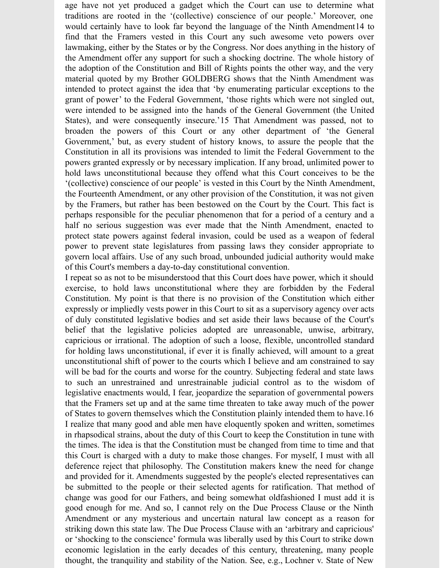age have not yet produced a gadget which the Court can use to determine what traditions are rooted in the '(collective) conscience of our people.' Moreover, one would certainly have to look far beyond the language of the Ninth Amendmen[t14](https://1.next.westlaw.com/Document/Id4c70e349c1d11d991d0cc6b54f12d4d/View/FullText.html?transitionType=UniqueDocItem&contextData=(sc.Default)&userEnteredCitation=381+us+479#co_footnote_B025141965125098) to find that the Framers vested in this Court any such awesome veto powers over lawmaking, either by the States or by the Congress. Nor does anything in the history of the Amendment offer any support for such a shocking doctrine. The whole history of the adoption of the Constitution and Bill of Rights points the other way, and the very material quoted by my Brother GOLDBERG shows that the Ninth Amendment was intended to protect against the idea that 'by enumerating particular exceptions to the grant of power' to the Federal Government, 'those rights which were not singled out, were intended to be assigned into the hands of the General Government (the United States), and were consequently insecure.['15](https://1.next.westlaw.com/Document/Id4c70e349c1d11d991d0cc6b54f12d4d/View/FullText.html?transitionType=UniqueDocItem&contextData=(sc.Default)&userEnteredCitation=381+us+479#co_footnote_B026151965125098) That Amendment was passed, not to broaden the powers of this Court or any other department of 'the General Government,' but, as every student of history knows, to assure the people that the Constitution in all its provisions was intended to limit the Federal Government to the powers granted expressly or by necessary implication. If any broad, unlimited power to hold laws unconstitutional because they offend what this Court conceives to be the '(collective) conscience of our people' is vested in this Court by the Ninth Amendment, the Fourteenth Amendment, or any other provision of the Constitution, it was not given by the Framers, but rather has been bestowed on the Court by the Court. This fact is perhaps responsible for the peculiar phenomenon that for a period of a century and a half no serious suggestion was ever made that the Ninth Amendment, enacted to protect state powers against federal invasion, could be used as a weapon of federal power to prevent state legislatures from passing laws they consider appropriate to govern local affairs. Use of any such broad, unbounded judicial authority would make of this Court's members a day-to-day constitutional convention.

I repeat so as not to be misunderstood that this Court does have power, which it should exercise, to hold laws unconstitutional where they are forbidden by the Federal Constitution. My point is that there is no provision of the Constitution which either expressly or impliedly vests power in this Court to sit as a supervisory agency over acts of duly constituted legislative bodies and set aside their laws because of the Court's belief that the legislative policies adopted are unreasonable, unwise, arbitrary, capricious or irrational. The adoption of such a loose, flexible, uncontrolled standard for holding laws unconstitutional, if ever it is finally achieved, will amount to a great unconstitutional shift of power to the courts which I believe and am constrained to say will be bad for the courts and worse for the country. Subjecting federal and state laws to such an unrestrained and unrestrainable judicial control as to the wisdom of legislative enactments would, I fear, jeopardize the separation of governmental powers that the Framers set up and at the same time threaten to take away much of the power of States to govern themselves which the Constitution plainly intended them to have[.16](https://1.next.westlaw.com/Document/Id4c70e349c1d11d991d0cc6b54f12d4d/View/FullText.html?transitionType=UniqueDocItem&contextData=(sc.Default)&userEnteredCitation=381+us+479#co_footnote_B027161965125098) I realize that many good and able men have eloquently spoken and written, sometimes in rhapsodical strains, about the duty of this Court to keep the Constitution in tune with the times. The idea is that the Constitution must be changed from time to time and that this Court is charged with a duty to make those changes. For myself, I must with all deference reject that philosophy. The Constitution makers knew the need for change and provided for it. Amendments suggested by the people's elected representatives can be submitted to the people or their selected agents for ratification. That method of change was good for our Fathers, and being somewhat oldfashioned I must add it is good enough for me. And so, I cannot rely on the Due Process Clause or the Ninth Amendment or any mysterious and uncertain natural law concept as a reason for striking down this state law. The Due Process Clause with an 'arbitrary and capricious' or 'shocking to the conscience' formula was liberally used by this Court to strike down economic legislation in the early decades of this century, threatening, many people thought, the [tranquility](https://1.next.westlaw.com/Link/Document/FullText?findType=Y&serNum=1905100369&pubNum=708&originatingDoc=Id4c70e349c1d11d991d0cc6b54f12d4d&refType=RP&originationContext=document&transitionType=DocumentItem&ppcid=ab4473be1fc04f8a8f4519c725ecda91&contextData=(sc.UserEnteredCitation)) and stability of the Nation. See, e.g., Lochner v. State of New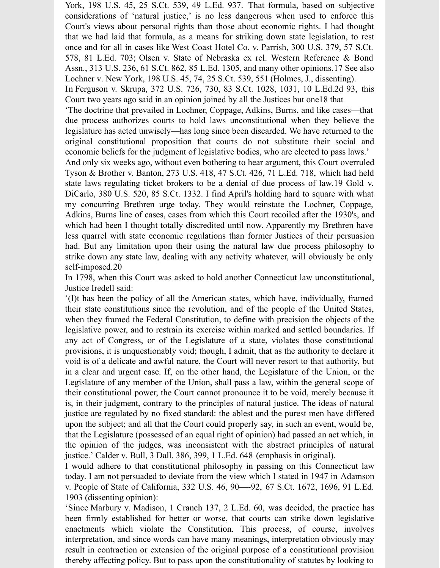York, 198 U.S. 45, 25 S.Ct. 539, 49 L.Ed. 937. That formula, based on subjective considerations of 'natural justice,' is no less dangerous when used to enforce this Court's views about personal rights than those about economic rights. I had thought that we had laid that formula, as a means for striking down state legislation, to rest once and for all in cases like West Coast Hotel Co. v. Parrish, 300 U.S. 379, 57 S.Ct. 578, 81 L.Ed. 703; Olsen v. State of Nebraska ex rel. Western [Reference](https://1.next.westlaw.com/Link/Document/FullText?findType=Y&serNum=1937122277&pubNum=708&originatingDoc=Id4c70e349c1d11d991d0cc6b54f12d4d&refType=RP&originationContext=document&transitionType=DocumentItem&ppcid=ab4473be1fc04f8a8f4519c725ecda91&contextData=(sc.UserEnteredCitation)) & Bond Assn., 313 U.S. 236, 61 S.Ct. 862, 85 L.Ed. 1305, and many other [opinions.17](https://1.next.westlaw.com/Link/Document/FullText?findType=Y&serNum=1941122183&pubNum=708&originatingDoc=Id4c70e349c1d11d991d0cc6b54f12d4d&refType=RP&originationContext=document&transitionType=DocumentItem&ppcid=ab4473be1fc04f8a8f4519c725ecda91&contextData=(sc.UserEnteredCitation)) See also [Lochner](https://1.next.westlaw.com/Link/Document/FullText?findType=Y&serNum=1905100369&pubNum=708&originatingDoc=Id4c70e349c1d11d991d0cc6b54f12d4d&refType=RP&fi=co_pp_sp_708_551&originationContext=document&transitionType=DocumentItem&ppcid=ab4473be1fc04f8a8f4519c725ecda91&contextData=(sc.UserEnteredCitation)#co_pp_sp_708_551) v. New York, 198 U.S. 45, 74, 25 S.Ct. 539, 551 (Holmes, J., dissenting).

In [Ferguson](https://1.next.westlaw.com/Link/Document/FullText?findType=Y&serNum=1963101657&pubNum=708&originatingDoc=Id4c70e349c1d11d991d0cc6b54f12d4d&refType=RP&fi=co_pp_sp_708_1031&originationContext=document&transitionType=DocumentItem&ppcid=ab4473be1fc04f8a8f4519c725ecda91&contextData=(sc.UserEnteredCitation)#co_pp_sp_708_1031) v. Skrupa, 372 U.S. 726, 730, 83 S.Ct. 1028, 1031, 10 L.Ed.2d 93, this Court two years ago said in an opinion joined by all the Justices but on[e18](https://1.next.westlaw.com/Document/Id4c70e349c1d11d991d0cc6b54f12d4d/View/FullText.html?transitionType=UniqueDocItem&contextData=(sc.Default)&userEnteredCitation=381+us+479#co_footnote_B029181965125098) that

'The doctrine that prevailed in Lochner, Coppage, Adkins, Burns, and like cases—that due process authorizes courts to hold laws unconstitutional when they believe the legislature has acted unwisely—has long since been discarded. We have returned to the original constitutional proposition that courts do not substitute their social and economic beliefs for the judgment of legislative bodies, who are elected to pass laws.'

And only six weeks ago, without even bothering to hear argument, this Court overruled Tyson & Brother v. [Banton,](https://1.next.westlaw.com/Link/Document/FullText?findType=Y&serNum=1927124412&pubNum=708&originatingDoc=Id4c70e349c1d11d991d0cc6b54f12d4d&refType=RP&originationContext=document&transitionType=DocumentItem&ppcid=ab4473be1fc04f8a8f4519c725ecda91&contextData=(sc.UserEnteredCitation)) 273 U.S. 418, 47 S.Ct. 426, 71 L.Ed. 718, which had held state laws [regulating](https://1.next.westlaw.com/Link/Document/FullText?findType=Y&serNum=1965203080&pubNum=708&originatingDoc=Id4c70e349c1d11d991d0cc6b54f12d4d&refType=RP&originationContext=document&transitionType=DocumentItem&ppcid=ab4473be1fc04f8a8f4519c725ecda91&contextData=(sc.UserEnteredCitation)) ticket brokers to be a denial of due process of law.[19](https://1.next.westlaw.com/Document/Id4c70e349c1d11d991d0cc6b54f12d4d/View/FullText.html?transitionType=UniqueDocItem&contextData=(sc.Default)&userEnteredCitation=381+us+479#co_footnote_B030191965125098) Gold v. DiCarlo, 380 U.S. 520, 85 S.Ct. 1332. I find April's holding hard to square with what my concurring Brethren urge today. They would reinstate the Lochner, Coppage, Adkins, Burns line of cases, cases from which this Court recoiled after the 1930's, and which had been I thought totally discredited until now. Apparently my Brethren have less quarrel with state economic regulations than former Justices of their persuasion had. But any limitation upon their using the natural law due process philosophy to strike down any state law, dealing with any activity whatever, will obviously be only self-imposed[.20](https://1.next.westlaw.com/Document/Id4c70e349c1d11d991d0cc6b54f12d4d/View/FullText.html?transitionType=UniqueDocItem&contextData=(sc.Default)&userEnteredCitation=381+us+479#co_footnote_B031201965125098)

In 1798, when this Court was asked to hold another Connecticut law unconstitutional, Justice Iredell said:

'(I)t has been the policy of all the American states, which have, individually, framed their state constitutions since the revolution, and of the people of the United States, when they framed the Federal Constitution, to define with precision the objects of the legislative power, and to restrain its exercise within marked and settled boundaries. If any act of Congress, or of the Legislature of a state, violates those constitutional provisions, it is unquestionably void; though, I admit, that as the authority to declare it void is of a delicate and awful nature, the Court will never resort to that authority, but in a clear and urgent case. If, on the other hand, the Legislature of the Union, or the Legislature of any member of the Union, shall pass a law, within the general scope of their constitutional power, the Court cannot pronounce it to be void, merely because it is, in their judgment, contrary to the principles of natural justice. The ideas of natural justice are regulated by no fixed standard: the ablest and the purest men have differed upon the subject; and all that the Court could properly say, in such an event, would be, that the Legislature (possessed of an equal right of opinion) had passed an act which, in the opinion of the judges, was inconsistent with the abstract principles of natural justice.' [Calder](https://1.next.westlaw.com/Link/Document/FullText?findType=Y&serNum=1700147854&pubNum=780&originatingDoc=Id4c70e349c1d11d991d0cc6b54f12d4d&refType=RP&fi=co_pp_sp_780_399&originationContext=document&transitionType=DocumentItem&ppcid=ab4473be1fc04f8a8f4519c725ecda91&contextData=(sc.UserEnteredCitation)#co_pp_sp_780_399) v. Bull, 3 Dall. 386, 399, 1 L.Ed. 648 (emphasis in original).

I would adhere to that constitutional philosophy in passing on this Connecticut law today. I am not persuaded to deviate from the view which I stated in 1947 in Adamson v. People of State of [California,](https://1.next.westlaw.com/Link/Document/FullText?findType=Y&serNum=1947114039&pubNum=780&originatingDoc=Id4c70e349c1d11d991d0cc6b54f12d4d&refType=RP&fi=co_pp_sp_780_90&originationContext=document&transitionType=DocumentItem&ppcid=ab4473be1fc04f8a8f4519c725ecda91&contextData=(sc.UserEnteredCitation)#co_pp_sp_780_90) 332 U.S. 46, 90—-92, 67 S.Ct. 1672, 1696, 91 L.Ed. 1903 [\(dissenting](https://1.next.westlaw.com/Link/Document/FullText?findType=Y&serNum=1947114039&pubNum=708&originatingDoc=Id4c70e349c1d11d991d0cc6b54f12d4d&refType=RP&fi=co_pp_sp_708_1696&originationContext=document&transitionType=DocumentItem&ppcid=ab4473be1fc04f8a8f4519c725ecda91&contextData=(sc.UserEnteredCitation)#co_pp_sp_708_1696) opinion):

'Since Marbury v. [Madison,](https://1.next.westlaw.com/Link/Document/FullText?findType=Y&serNum=1801123932&pubNum=780&originatingDoc=Id4c70e349c1d11d991d0cc6b54f12d4d&refType=RP&originationContext=document&transitionType=DocumentItem&ppcid=ab4473be1fc04f8a8f4519c725ecda91&contextData=(sc.UserEnteredCitation)) 1 Cranch 137, 2 L.Ed. 60, was decided, the practice has been firmly established for better or worse, that courts can strike down legislative enactments which violate the Constitution. This process, of course, involves interpretation, and since words can have many meanings, interpretation obviously may result in contraction or extension of the original purpose of a constitutional provision thereby affecting policy. But to pass upon the constitutionality of statutes by looking to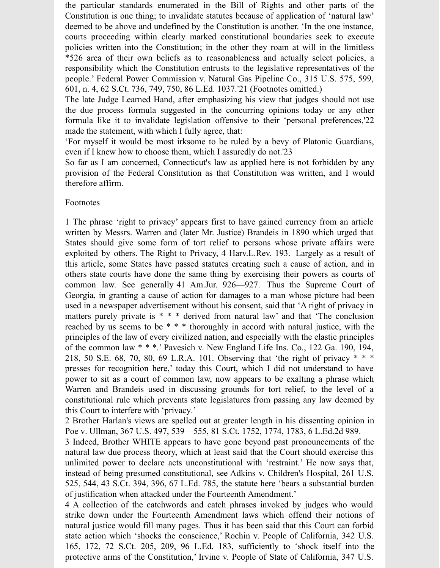the particular standards enumerated in the Bill of Rights and other parts of the Constitution is one thing; to invalidate statutes because of application of 'natural law' deemed to be above and undefined by the Constitution is another. 'In the one instance, courts proceeding within clearly marked constitutional boundaries seek to execute policies written into the Constitution; in the other they roam at will in the limitless \*526 area of their own beliefs as to reasonableness and actually select policies, a responsibility which the Constitution entrusts to the legislative representatives of the people.' Federal Power [Commission](https://1.next.westlaw.com/Link/Document/FullText?findType=Y&serNum=1942118640&pubNum=708&originatingDoc=Id4c70e349c1d11d991d0cc6b54f12d4d&refType=RP&fi=co_pp_sp_708_749&originationContext=document&transitionType=DocumentItem&ppcid=ab4473be1fc04f8a8f4519c725ecda91&contextData=(sc.UserEnteredCitation)#co_pp_sp_708_749) v. Natural Gas Pipeline Co., 315 U.S. 575, 599, 601, n. 4, 62 S.Ct. 736, 749, 750, 86 L.Ed. 1037.['21](https://1.next.westlaw.com/Document/Id4c70e349c1d11d991d0cc6b54f12d4d/View/FullText.html?transitionType=UniqueDocItem&contextData=(sc.Default)&userEnteredCitation=381+us+479#co_footnote_B032211965125098) (Footnotes omitted.)

The late Judge Learned Hand, after emphasizing his view that judges should not use the due process formula suggested in the concurring opinions today or any other formula like it to invalidate legislation offensive to their 'personal preferences,'[22](https://1.next.westlaw.com/Document/Id4c70e349c1d11d991d0cc6b54f12d4d/View/FullText.html?transitionType=UniqueDocItem&contextData=(sc.Default)&userEnteredCitation=381+us+479#co_footnote_B033221965125098) made the statement, with which I fully agree, that:

'For myself it would be most irksome to be ruled by a bevy of Platonic Guardians, even if I knew how to choose them, which I assuredly do not.'[23](https://1.next.westlaw.com/Document/Id4c70e349c1d11d991d0cc6b54f12d4d/View/FullText.html?transitionType=UniqueDocItem&contextData=(sc.Default)&userEnteredCitation=381+us+479#co_footnote_B034231965125098)

So far as I am concerned, Connecticut's law as applied here is not forbidden by any provision of the Federal Constitution as that Constitution was written, and I would therefore affirm.

#### Footnotes

[1](https://1.next.westlaw.com/Document/Id4c70e349c1d11d991d0cc6b54f12d4d/View/FullText.html?transitionType=UniqueDocItem&contextData=(sc.Default)&userEnteredCitation=381+us+479#co_fnRef_B01211965125098_ID0ECZBI) The phrase 'right to privacy' appears first to have gained currency from an article written by Messrs. Warren and (later Mr. Justice) Brandeis in 1890 which urged that States should give some form of tort relief to persons whose private affairs were exploited by others. The Right to Privacy, 4 [Harv.L.Rev.](https://1.next.westlaw.com/Link/Document/FullText?findType=Y&serNum=0345609580&pubNum=3084&originatingDoc=Id4c70e349c1d11d991d0cc6b54f12d4d&refType=LR&originationContext=document&transitionType=DocumentItem&ppcid=ab4473be1fc04f8a8f4519c725ecda91&contextData=(sc.UserEnteredCitation)) 193. Largely as a result of this article, some States have passed statutes creating such a cause of action, and in others state courts have done the same thing by exercising their powers as courts of common law. See generally 41 Am.Jur. [926—927.](https://1.next.westlaw.com/Link/Document/FullText?findType=Y&cite=41AMERJUR926&originatingDoc=Id4c70e349c1d11d991d0cc6b54f12d4d&refType=RP&originationContext=document&transitionType=DocumentItem&ppcid=ab4473be1fc04f8a8f4519c725ecda91&contextData=(sc.UserEnteredCitation)) Thus the Supreme Court of Georgia, in granting a cause of action for damages to a man whose picture had been used in a newspaper advertisement without his consent, said that 'A right of privacy in matters purely private is \* \* \* derived from natural law' and that 'The conclusion reached by us seems to be \* \* \* thoroughly in accord with natural justice, with the principles of the law of every civilized nation, and especially with the elastic principles of the common law \* \* \*.' Pavesich v. New England Life Ins. Co., 122 Ga. 190, 194, 218, 50 S.E. 68, 70, 80, 69 [L.R.A.](https://1.next.westlaw.com/Link/Document/FullText?findType=Y&serNum=1905011486&pubNum=473&originatingDoc=Id4c70e349c1d11d991d0cc6b54f12d4d&refType=RP&originationContext=document&transitionType=DocumentItem&ppcid=ab4473be1fc04f8a8f4519c725ecda91&contextData=(sc.UserEnteredCitation)) 101. [Observing](https://1.next.westlaw.com/Link/Document/FullText?findType=Y&serNum=1905011486&pubNum=710&originatingDoc=Id4c70e349c1d11d991d0cc6b54f12d4d&refType=RP&fi=co_pp_sp_710_70&originationContext=document&transitionType=DocumentItem&ppcid=ab4473be1fc04f8a8f4519c725ecda91&contextData=(sc.UserEnteredCitation)#co_pp_sp_710_70) that 'the right of privacy \* \* \* presses for recognition here,' today this Court, which I did not understand to have power to sit as a court of common law, now appears to be exalting a phrase which Warren and Brandeis used in discussing grounds for tort relief, to the level of a constitutional rule which prevents state legislatures from passing any law deemed by this Court to interfere with 'privacy.'

[2](https://1.next.westlaw.com/Document/Id4c70e349c1d11d991d0cc6b54f12d4d/View/FullText.html?transitionType=UniqueDocItem&contextData=(sc.Default)&userEnteredCitation=381+us+479#co_fnRef_B01321965125098_ID0E13BI) Brother Harlan's views are spelled out at greater length in his dissenting opinion in Poe v. Ullman, 367 U.S. 497, [539—555,](https://1.next.westlaw.com/Link/Document/FullText?findType=Y&serNum=1961103584&pubNum=708&originatingDoc=Id4c70e349c1d11d991d0cc6b54f12d4d&refType=RP&fi=co_pp_sp_708_1774&originationContext=document&transitionType=DocumentItem&ppcid=ab4473be1fc04f8a8f4519c725ecda91&contextData=(sc.UserEnteredCitation)#co_pp_sp_708_1774) 81 S.Ct. 1752, 1774, 1783, 6 L.Ed.2d 989.

[3](https://1.next.westlaw.com/Document/Id4c70e349c1d11d991d0cc6b54f12d4d/View/FullText.html?transitionType=UniqueDocItem&contextData=(sc.Default)&userEnteredCitation=381+us+479#co_fnRef_B01431965125098_ID0EV5BI) Indeed, Brother WHITE appears to have gone beyond past pronouncements of the natural law due process theory, which at least said that the Court should exercise this unlimited power to declare acts unconstitutional with 'restraint.' He now says that, instead of being presumed [constitutional,](https://1.next.westlaw.com/Link/Document/FullText?findType=Y&serNum=1923120301&pubNum=708&originatingDoc=Id4c70e349c1d11d991d0cc6b54f12d4d&refType=RP&fi=co_pp_sp_708_396&originationContext=document&transitionType=DocumentItem&ppcid=ab4473be1fc04f8a8f4519c725ecda91&contextData=(sc.UserEnteredCitation)#co_pp_sp_708_396) see Adkins v. Children's Hospital, 261 U.S. 525, 544, 43 S.Ct. 394, 396, 67 L.Ed. 785, the statute here 'bears a substantial burden of justification when attacked under the Fourteenth Amendment.'

[4](https://1.next.westlaw.com/Document/Id4c70e349c1d11d991d0cc6b54f12d4d/View/FullText.html?transitionType=UniqueDocItem&contextData=(sc.Default)&userEnteredCitation=381+us+479#co_fnRef_B01541965125098_ID0E65BI) A collection of the catchwords and catch phrases invoked by judges who would strike down under the Fourteenth Amendment laws which offend their notions of natural justice would fill many pages. Thus it has been said that this Court can forbid state action which 'shocks the [conscience,'](https://1.next.westlaw.com/Link/Document/FullText?findType=Y&serNum=1952118934&pubNum=708&originatingDoc=Id4c70e349c1d11d991d0cc6b54f12d4d&refType=RP&fi=co_pp_sp_708_209&originationContext=document&transitionType=DocumentItem&ppcid=ab4473be1fc04f8a8f4519c725ecda91&contextData=(sc.UserEnteredCitation)#co_pp_sp_708_209) Rochin v. People of California, 342 U.S. 165, 172, 72 S.Ct. 205, 209, 96 L.Ed. 183, sufficiently to 'shock itself into the protective arms of the [Constitution,'](https://1.next.westlaw.com/Link/Document/FullText?findType=Y&serNum=1954118697&pubNum=708&originatingDoc=Id4c70e349c1d11d991d0cc6b54f12d4d&refType=RP&fi=co_pp_sp_708_386&originationContext=document&transitionType=DocumentItem&ppcid=ab4473be1fc04f8a8f4519c725ecda91&contextData=(sc.UserEnteredCitation)#co_pp_sp_708_386) Irvine v. People of State of California, 347 U.S.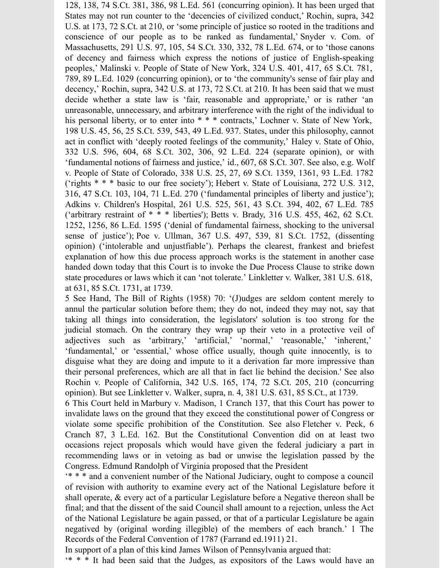128, 138, 74 S.Ct. 381, 386, 98 L.Ed. 561 (concurring opinion). It has been urged that States may not run counter to the ['decencies](https://1.next.westlaw.com/Link/Document/FullText?findType=Y&serNum=1952118934&pubNum=708&originatingDoc=Id4c70e349c1d11d991d0cc6b54f12d4d&refType=RP&fi=co_pp_sp_708_210&originationContext=document&transitionType=DocumentItem&ppcid=ab4473be1fc04f8a8f4519c725ecda91&contextData=(sc.UserEnteredCitation)#co_pp_sp_708_210) of civilized conduct,' Rochin, supra, 342 U.S. at 173, 72 S.Ct. at 210, or 'some principle of justice so rooted in the traditions and conscience of our people as to be ranked as fundamental,' Snyder v. Com. of [Massachusetts,](https://1.next.westlaw.com/Link/Document/FullText?findType=Y&serNum=1934124471&pubNum=708&originatingDoc=Id4c70e349c1d11d991d0cc6b54f12d4d&refType=RP&fi=co_pp_sp_708_332&originationContext=document&transitionType=DocumentItem&ppcid=ab4473be1fc04f8a8f4519c725ecda91&contextData=(sc.UserEnteredCitation)#co_pp_sp_708_332) 291 U.S. 97, 105, 54 S.Ct. 330, 332, 78 L.Ed. 674, or to 'those canons of decency and fairness which express the notions of justice of English-speaking peoples,' Malinski v. People of State of New York, 324 U.S. 401, 417, 65 S.Ct. 781, 789, 89 L.Ed. 1029 (concurring opinion), or to 'the [community's](https://1.next.westlaw.com/Link/Document/FullText?findType=Y&serNum=1945115338&pubNum=708&originatingDoc=Id4c70e349c1d11d991d0cc6b54f12d4d&refType=RP&fi=co_pp_sp_708_789&originationContext=document&transitionType=DocumentItem&ppcid=ab4473be1fc04f8a8f4519c725ecda91&contextData=(sc.UserEnteredCitation)#co_pp_sp_708_789) sense of fair play and decency,' [Rochin,](https://1.next.westlaw.com/Link/Document/FullText?findType=Y&serNum=1952118934&pubNum=708&originatingDoc=Id4c70e349c1d11d991d0cc6b54f12d4d&refType=RP&fi=co_pp_sp_708_210&originationContext=document&transitionType=DocumentItem&ppcid=ab4473be1fc04f8a8f4519c725ecda91&contextData=(sc.UserEnteredCitation)#co_pp_sp_708_210) supra, 342 U.S. at 173, 72 S.Ct. at 210. It has been said that we must decide whether a state law is 'fair, reasonable and appropriate,' or is rather 'an unreasonable, unnecessary, and arbitrary interference with the right of the individual to his personal liberty, or to enter into \* \* \* contracts,' Lochner v. State of New York, 198 U.S. 45, 56, 25 S.Ct. 539, 543, 49 L.Ed. 937. States, under this [philosophy,](https://1.next.westlaw.com/Link/Document/FullText?findType=Y&serNum=1905100369&pubNum=708&originatingDoc=Id4c70e349c1d11d991d0cc6b54f12d4d&refType=RP&fi=co_pp_sp_708_543&originationContext=document&transitionType=DocumentItem&ppcid=ab4473be1fc04f8a8f4519c725ecda91&contextData=(sc.UserEnteredCitation)#co_pp_sp_708_543) cannot act in conflict with 'deeply rooted feelings of the [community,'](https://1.next.westlaw.com/Link/Document/FullText?findType=Y&serNum=1948116979&pubNum=708&originatingDoc=Id4c70e349c1d11d991d0cc6b54f12d4d&refType=RP&fi=co_pp_sp_708_306&originationContext=document&transitionType=DocumentItem&ppcid=ab4473be1fc04f8a8f4519c725ecda91&contextData=(sc.UserEnteredCitation)#co_pp_sp_708_306) Haley v. State of Ohio, 332 U.S. 596, 604, 68 S.Ct. 302, 306, 92 L.Ed. 224 (separate opinion), or with ['fundamental](https://1.next.westlaw.com/Link/Document/FullText?findType=Y&serNum=1949199999&pubNum=708&originatingDoc=Id4c70e349c1d11d991d0cc6b54f12d4d&refType=RP&fi=co_pp_sp_708_1361&originationContext=document&transitionType=DocumentItem&ppcid=ab4473be1fc04f8a8f4519c725ecda91&contextData=(sc.UserEnteredCitation)#co_pp_sp_708_1361) notions of fairness and justice,' id., 607, 68 [S.Ct.](https://1.next.westlaw.com/Link/Document/FullText?findType=Y&serNum=1948116979&pubNum=708&originatingDoc=Id4c70e349c1d11d991d0cc6b54f12d4d&refType=RP&originationContext=document&transitionType=DocumentItem&ppcid=ab4473be1fc04f8a8f4519c725ecda91&contextData=(sc.UserEnteredCitation)) 307. See also, e.g. Wolf v. People of State of Colorado, 338 U.S. 25, 27, 69 S.Ct. 1359, 1361, 93 L.Ed. 1782 ('rights \* \* \* basic to our free society'); Hebert v. State of Louisiana, 272 U.S. 312, 316, 47 S.Ct. 103, 104, 71 L.Ed. 270 [\('fundamental](https://1.next.westlaw.com/Link/Document/FullText?findType=Y&serNum=1926121935&pubNum=708&originatingDoc=Id4c70e349c1d11d991d0cc6b54f12d4d&refType=RP&fi=co_pp_sp_708_104&originationContext=document&transitionType=DocumentItem&ppcid=ab4473be1fc04f8a8f4519c725ecda91&contextData=(sc.UserEnteredCitation)#co_pp_sp_708_104) principles of liberty and justice'); Adkins v. [Children's](https://1.next.westlaw.com/Link/Document/FullText?findType=Y&serNum=1923120301&pubNum=708&originatingDoc=Id4c70e349c1d11d991d0cc6b54f12d4d&refType=RP&fi=co_pp_sp_708_402&originationContext=document&transitionType=DocumentItem&ppcid=ab4473be1fc04f8a8f4519c725ecda91&contextData=(sc.UserEnteredCitation)#co_pp_sp_708_402) Hospital, 261 U.S. 525, 561, 43 S.Ct. 394, 402, 67 L.Ed. 785 ('arbitrary restraint of  $* * *$  liberties'); Betts v. Brady, 316 U.S. 455, 462, 62 S.Ct. 1252, 1256, 86 L.Ed. 1595 ('denial of [fundamental](https://1.next.westlaw.com/Link/Document/FullText?findType=Y&serNum=1942117812&pubNum=708&originatingDoc=Id4c70e349c1d11d991d0cc6b54f12d4d&refType=RP&fi=co_pp_sp_708_1256&originationContext=document&transitionType=DocumentItem&ppcid=ab4473be1fc04f8a8f4519c725ecda91&contextData=(sc.UserEnteredCitation)#co_pp_sp_708_1256) fairness, shocking to the universal sense of justice'); Poe v. [Ullman,](https://1.next.westlaw.com/Link/Document/FullText?findType=Y&serNum=1961103584&pubNum=708&originatingDoc=Id4c70e349c1d11d991d0cc6b54f12d4d&refType=RP&originationContext=document&transitionType=DocumentItem&ppcid=ab4473be1fc04f8a8f4519c725ecda91&contextData=(sc.UserEnteredCitation)) 367 U.S. 497, 539, 81 S.Ct. 1752, (dissenting opinion) ('intolerable and unjustfiable'). Perhaps the clearest, frankest and briefest explanation of how this due process approach works is the statement in another case handed down today that this Court is to invoke the Due Process Clause to strike down state [procedures](https://1.next.westlaw.com/Link/Document/FullText?findType=Y&serNum=1965125100&pubNum=2793&originatingDoc=Id4c70e349c1d11d991d0cc6b54f12d4d&refType=RP&originationContext=document&transitionType=DocumentItem&ppcid=ab4473be1fc04f8a8f4519c725ecda91&contextData=(sc.UserEnteredCitation)) or laws which it can 'not tolerate.' Linkletter v. Walker, 381 U.S. 618, at 631, 85 S.Ct. 1731, at 1739.

[5](https://1.next.westlaw.com/Document/Id4c70e349c1d11d991d0cc6b54f12d4d/View/FullText.html?transitionType=UniqueDocItem&contextData=(sc.Default)&userEnteredCitation=381+us+479#co_fnRef_B01651965125098_ID0EMACI) See Hand, The Bill of Rights (1958) 70: '(J)udges are seldom content merely to annul the particular solution before them; they do not, indeed they may not, say that taking all things into consideration, the legislators' solution is too strong for the judicial stomach. On the contrary they wrap up their veto in a protective veil of adjectives such as 'arbitrary,' 'artificial,' 'normal,' 'reasonable,' 'inherent,' 'fundamental,' or 'essential,' whose office usually, though quite innocently, is to disguise what they are doing and impute to it a derivation far more impressive than their personal preferences, which are all that in fact lie behind the decision.' See also Rochin v. People of [California,](https://1.next.westlaw.com/Link/Document/FullText?findType=Y&serNum=1952118934&pubNum=708&originatingDoc=Id4c70e349c1d11d991d0cc6b54f12d4d&refType=RP&fi=co_pp_sp_708_210&originationContext=document&transitionType=DocumentItem&ppcid=ab4473be1fc04f8a8f4519c725ecda91&contextData=(sc.UserEnteredCitation)#co_pp_sp_708_210) 342 U.S. 165, 174, 72 S.Ct. 205, 210 (concurring opinion). But see [Linkletter](https://1.next.westlaw.com/Link/Document/FullText?findType=Y&serNum=1965125100&pubNum=708&originatingDoc=Id4c70e349c1d11d991d0cc6b54f12d4d&refType=RP&fi=co_pp_sp_708_1739&originationContext=document&transitionType=DocumentItem&ppcid=ab4473be1fc04f8a8f4519c725ecda91&contextData=(sc.UserEnteredCitation)#co_pp_sp_708_1739) v. Walker, supra, n. 4, 381 U.S. 631, 85 S.Ct., at 1739.

[6](https://1.next.westlaw.com/Document/Id4c70e349c1d11d991d0cc6b54f12d4d/View/FullText.html?transitionType=UniqueDocItem&contextData=(sc.Default)&userEnteredCitation=381+us+479#co_fnRef_B01761965125098_ID0E5ACI) This Court held in Marbury v. [Madison,](https://1.next.westlaw.com/Link/Document/FullText?findType=Y&serNum=1801123932&pubNum=780&originatingDoc=Id4c70e349c1d11d991d0cc6b54f12d4d&refType=RP&originationContext=document&transitionType=DocumentItem&ppcid=ab4473be1fc04f8a8f4519c725ecda91&contextData=(sc.UserEnteredCitation)) 1 Cranch 137, that this Court has power to invalidate laws on the ground that they exceed the constitutional power of Congress or violate some specific prohibition of the Constitution. See also Fletcher v. Peck, 6 Cranch 87, 3 L.Ed. 162. But the [Constitutional](https://1.next.westlaw.com/Link/Document/FullText?findType=Y&serNum=1800116198&pubNum=2668&originatingDoc=Id4c70e349c1d11d991d0cc6b54f12d4d&refType=RP&originationContext=document&transitionType=DocumentItem&ppcid=ab4473be1fc04f8a8f4519c725ecda91&contextData=(sc.UserEnteredCitation)) Convention did on at least two occasions reject proposals which would have given the federal judiciary a part in recommending laws or in vetoing as bad or unwise the legislation passed by the Congress. Edmund Randolph of Virginia proposed that the President

'\* \* \* and a convenient number of the National Judiciary, ought to compose a council of revision with authority to examine every act of the National Legislature before it shall operate, & every act of a particular Legislature before a Negative thereon shall be final; and that the dissent of the said Council shall amount to a rejection, unless the Act of the National Legislature be again passed, or that of a particular Legislature be again negatived by (original wording illegible) of the members of each branch.' 1 The Records of the Federal Convention of 1787 (Farrand ed.1911) 21.

In support of a plan of this kind James Wilson of Pennsylvania argued that:

'\* \* \* It had been said that the Judges, as expositors of the Laws would have an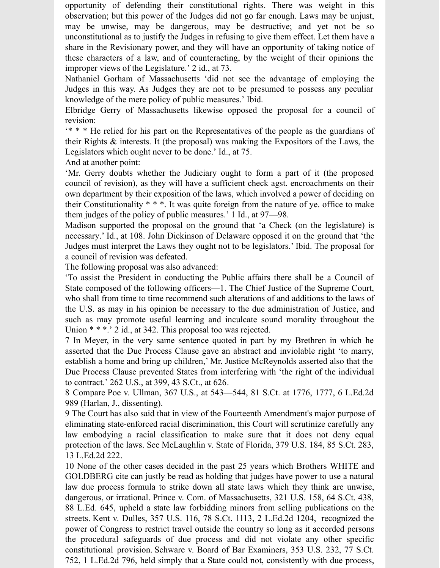opportunity of defending their constitutional rights. There was weight in this observation; but this power of the Judges did not go far enough. Laws may be unjust, may be unwise, may be dangerous, may be destructive; and yet not be so unconstitutional as to justify the Judges in refusing to give them effect. Let them have a share in the Revisionary power, and they will have an opportunity of taking notice of these characters of a law, and of counteracting, by the weight of their opinions the improper views of the Legislature.' 2 id., at 73.

Nathaniel Gorham of Massachusetts 'did not see the advantage of employing the Judges in this way. As Judges they are not to be presumed to possess any peculiar knowledge of the mere policy of public measures.' Ibid.

Elbridge Gerry of Massachusetts likewise opposed the proposal for a council of revision:

'\* \* \* He relied for his part on the Representatives of the people as the guardians of their Rights & interests. It (the proposal) was making the Expositors of the Laws, the Legislators which ought never to be done.' Id., at 75.

And at another point:

'Mr. Gerry doubts whether the Judiciary ought to form a part of it (the proposed council of revision), as they will have a sufficient check agst. encroachments on their own department by their exposition of the laws, which involved a power of deciding on their Constitutionality \* \* \*. It was quite foreign from the nature of ye. office to make them judges of the policy of public measures.' 1 Id., at 97—98.

Madison supported the proposal on the ground that 'a Check (on the legislature) is necessary.' Id., at [108](https://1.next.westlaw.com/Link/Document/FullText?findType=Y&serNum=1800116198&originatingDoc=Id4c70e349c1d11d991d0cc6b54f12d4d&refType=RP&originationContext=document&transitionType=DocumentItem&ppcid=ab4473be1fc04f8a8f4519c725ecda91&contextData=(sc.UserEnteredCitation)). John Dickinson of Delaware opposed it on the ground that 'the Judges must interpret the Laws they ought not to be legislators.' Ibid. The proposal for a council of revision was defeated.

The following proposal was also advanced:

'To assist the President in conducting the Public affairs there shall be a Council of State composed of the following officers—1. The Chief Justice of the Supreme Court, who shall from time to time recommend such alterations of and additions to the laws of the U.S. as may in his opinion be necessary to the due administration of Justice, and such as may promote useful learning and inculcate sound morality throughout the Union \* \* \*.' 2 id., at 342. This proposal too was rejected.

[7](https://1.next.westlaw.com/Document/Id4c70e349c1d11d991d0cc6b54f12d4d/View/FullText.html?transitionType=UniqueDocItem&contextData=(sc.Default)&userEnteredCitation=381+us+479#co_fnRef_B01871965125098_ID0EVWCI) In Meyer, in the very same sentence quoted in part by my Brethren in which he asserted that the Due Process Clause gave an abstract and inviolable right 'to marry, establish a home and bring up children,' Mr. Justice McReynolds asserted also that the Due Process Clause prevented States from interfering with 'the right of the individual to contract.' 262 U.S., at 399, 43 [S.Ct.,](https://1.next.westlaw.com/Link/Document/FullText?findType=Y&serNum=1923120440&pubNum=708&originatingDoc=Id4c70e349c1d11d991d0cc6b54f12d4d&refType=RP&fi=co_pp_sp_708_626&originationContext=document&transitionType=DocumentItem&ppcid=ab4473be1fc04f8a8f4519c725ecda91&contextData=(sc.UserEnteredCitation)#co_pp_sp_708_626) at 626.

[8](https://1.next.westlaw.com/Document/Id4c70e349c1d11d991d0cc6b54f12d4d/View/FullText.html?transitionType=UniqueDocItem&contextData=(sc.Default)&userEnteredCitation=381+us+479#co_fnRef_B01981965125098_ID0EUXCI) Compare Poe v. Ullman, 367 U.S., at 543—544, 81 S.Ct. at 1776, 1777, 6 L.Ed.2d 989 (Harlan, J., [dissenting\).](https://1.next.westlaw.com/Link/Document/FullText?findType=Y&serNum=1961103584&pubNum=708&originatingDoc=Id4c70e349c1d11d991d0cc6b54f12d4d&refType=RP&fi=co_pp_sp_708_1776&originationContext=document&transitionType=DocumentItem&ppcid=ab4473be1fc04f8a8f4519c725ecda91&contextData=(sc.UserEnteredCitation)#co_pp_sp_708_1776)

[9](https://1.next.westlaw.com/Document/Id4c70e349c1d11d991d0cc6b54f12d4d/View/FullText.html?transitionType=UniqueDocItem&contextData=(sc.Default)&userEnteredCitation=381+us+479#co_fnRef_B02091965125098_ID0E4YCI) The Court has also said that in view of the Fourteenth Amendment's major purpose of eliminating state-enforced racial discrimination, this Court will scrutinize carefully any law embodying a racial classification to make sure that it does not deny equal protection of the laws. See [McLaughlin](https://1.next.westlaw.com/Link/Document/FullText?findType=Y&serNum=1964124890&pubNum=708&originatingDoc=Id4c70e349c1d11d991d0cc6b54f12d4d&refType=RP&originationContext=document&transitionType=DocumentItem&ppcid=ab4473be1fc04f8a8f4519c725ecda91&contextData=(sc.UserEnteredCitation)) v. State of Florida, 379 U.S. 184, 85 S.Ct. 283, 13 L.Ed.2d 222.

[10](https://1.next.westlaw.com/Document/Id4c70e349c1d11d991d0cc6b54f12d4d/View/FullText.html?transitionType=UniqueDocItem&contextData=(sc.Default)&userEnteredCitation=381+us+479#co_fnRef_B021101965125098_ID0EYZCI) None of the other cases decided in the past 25 years which Brothers WHITE and GOLDBERG cite can justly be read as holding that judges have power to use a natural law due process formula to strike down all state laws which they think are unwise, dangerous, or irrational. Prince v. Com. of [Massachusetts,](https://1.next.westlaw.com/Link/Document/FullText?findType=Y&serNum=1944116705&pubNum=708&originatingDoc=Id4c70e349c1d11d991d0cc6b54f12d4d&refType=RP&originationContext=document&transitionType=DocumentItem&ppcid=ab4473be1fc04f8a8f4519c725ecda91&contextData=(sc.UserEnteredCitation)) 321 U.S. 158, 64 S.Ct. 438, 88 L.Ed. 645, upheld a state law forbidding minors from selling publications on the streets. Kent v. Dulles, 357 U.S. 116, 78 S.Ct. 1113, 2 [L.Ed.2d](https://1.next.westlaw.com/Link/Document/FullText?findType=Y&serNum=1958102537&pubNum=708&originatingDoc=Id4c70e349c1d11d991d0cc6b54f12d4d&refType=RP&originationContext=document&transitionType=DocumentItem&ppcid=ab4473be1fc04f8a8f4519c725ecda91&contextData=(sc.UserEnteredCitation)) 1204, recognized the power of Congress to restrict travel outside the country so long as it accorded persons the procedural safeguards of due process and did not violate any other specific [constitutional](https://1.next.westlaw.com/Link/Document/FullText?findType=Y&serNum=1957120350&pubNum=708&originatingDoc=Id4c70e349c1d11d991d0cc6b54f12d4d&refType=RP&originationContext=document&transitionType=DocumentItem&ppcid=ab4473be1fc04f8a8f4519c725ecda91&contextData=(sc.UserEnteredCitation)) provision. Schware v. Board of Bar Examiners, 353 U.S. 232, 77 S.Ct. 752, 1 L.Ed.2d 796, held simply that a State could not, consistently with due process,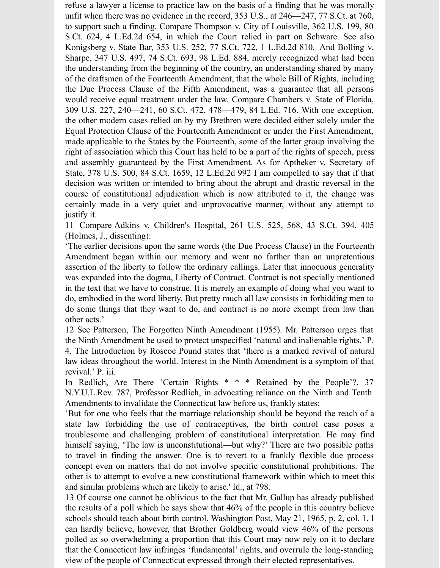refuse a lawyer a license to practice law on the basis of a finding that he was morally unfit when there was no evidence in the record, 353 U.S., at [246—247,](https://1.next.westlaw.com/Link/Document/FullText?findType=Y&serNum=1957120350&pubNum=708&originatingDoc=Id4c70e349c1d11d991d0cc6b54f12d4d&refType=RP&fi=co_pp_sp_708_760&originationContext=document&transitionType=DocumentItem&ppcid=ab4473be1fc04f8a8f4519c725ecda91&contextData=(sc.UserEnteredCitation)#co_pp_sp_708_760) 77 S.Ct. at 760, to support such a finding. Compare Thompson v. City of [Louisville,](https://1.next.westlaw.com/Link/Document/FullText?findType=Y&serNum=1960104233&pubNum=708&originatingDoc=Id4c70e349c1d11d991d0cc6b54f12d4d&refType=RP&originationContext=document&transitionType=DocumentItem&ppcid=ab4473be1fc04f8a8f4519c725ecda91&contextData=(sc.UserEnteredCitation)) 362 U.S. 199, 80 S.Ct. 624, 4 L.Ed.2d 654, in which the Court relied in part on Schware. See also [Konigsberg](https://1.next.westlaw.com/Link/Document/FullText?findType=Y&serNum=1954117300&pubNum=708&originatingDoc=Id4c70e349c1d11d991d0cc6b54f12d4d&refType=RP&originationContext=document&transitionType=DocumentItem&ppcid=ab4473be1fc04f8a8f4519c725ecda91&contextData=(sc.UserEnteredCitation)) v. State Bar, 353 U.S. 252, 77 S.Ct. 722, 1 L.Ed.2d 810. And Bolling v. Sharpe, 347 U.S. 497, 74 S.Ct. 693, 98 L.Ed. 884, merely recognized what had been the understanding from the beginning of the country, an understanding shared by many of the draftsmen of the Fourteenth Amendment, that the whole Bill of Rights, including the Due Process Clause of the Fifth Amendment, was a guarantee that all persons would receive equal treatment under the law. Compare [Chambers](https://1.next.westlaw.com/Link/Document/FullText?findType=Y&serNum=1940126007&pubNum=708&originatingDoc=Id4c70e349c1d11d991d0cc6b54f12d4d&refType=RP&fi=co_pp_sp_708_478&originationContext=document&transitionType=DocumentItem&ppcid=ab4473be1fc04f8a8f4519c725ecda91&contextData=(sc.UserEnteredCitation)#co_pp_sp_708_478) v. State of Florida, 309 U.S. 227, 240—241, 60 S.Ct. 472, 478—479, 84 L.Ed. 716. With one exception, the other modern cases relied on by my Brethren were decided either solely under the Equal Protection Clause of the Fourteenth Amendment or under the First Amendment, made applicable to the States by the Fourteenth, some of the latter group involving the right of association which this Court has held to be a part of the rights of speech, press and assembly guaranteed by the First [Amendment.](https://1.next.westlaw.com/Link/Document/FullText?findType=Y&serNum=1964100215&pubNum=708&originatingDoc=Id4c70e349c1d11d991d0cc6b54f12d4d&refType=RP&originationContext=document&transitionType=DocumentItem&ppcid=ab4473be1fc04f8a8f4519c725ecda91&contextData=(sc.UserEnteredCitation)) As for Aptheker v. Secretary of State, 378 U.S. 500, 84 S.Ct. 1659, 12 L.Ed.2d 992 I am compelled to say that if that decision was written or intended to bring about the abrupt and drastic reversal in the course of constitutional adjudication which is now attributed to it, the change was certainly made in a very quiet and unprovocative manner, without any attempt to justify it.

[11](https://1.next.westlaw.com/Document/Id4c70e349c1d11d991d0cc6b54f12d4d/View/FullText.html?transitionType=UniqueDocItem&contextData=(sc.Default)&userEnteredCitation=381+us+479#co_fnRef_B022111965125098_ID0EO1CI) Compare Adkins v. [Children's](https://1.next.westlaw.com/Link/Document/FullText?findType=Y&serNum=1923120301&pubNum=708&originatingDoc=Id4c70e349c1d11d991d0cc6b54f12d4d&refType=RP&fi=co_pp_sp_708_405&originationContext=document&transitionType=DocumentItem&ppcid=ab4473be1fc04f8a8f4519c725ecda91&contextData=(sc.UserEnteredCitation)#co_pp_sp_708_405) Hospital, 261 U.S. 525, 568, 43 S.Ct. 394, 405 (Holmes, J., dissenting):

'The earlier decisions upon the same words (the Due Process Clause) in the Fourteenth Amendment began within our memory and went no farther than an unpretentious assertion of the liberty to follow the ordinary callings. Later that innocuous generality was expanded into the dogma, Liberty of Contract. Contract is not specially mentioned in the text that we have to construe. It is merely an example of doing what you want to do, embodied in the word liberty. But pretty much all law consists in forbidding men to do some things that they want to do, and contract is no more exempt from law than other acts.'

[12](https://1.next.westlaw.com/Document/Id4c70e349c1d11d991d0cc6b54f12d4d/View/FullText.html?transitionType=UniqueDocItem&contextData=(sc.Default)&userEnteredCitation=381+us+479#co_fnRef_B023121965125098_ID0E2CDI) See Patterson, The Forgotten Ninth Amendment (1955). Mr. Patterson urges that the Ninth Amendment be used to protect unspecified 'natural and inalienable rights.' P. 4. The Introduction by Roscoe Pound states that 'there is a marked revival of natural law ideas throughout the world. Interest in the Ninth Amendment is a symptom of that revival.' P. iii.

In Redlich, Are There 'Certain Rights \* \* \* Retained by the People'?, 37 N.Y.U.L.Rev. 787, Professor Redlich, in advocating reliance on the Ninth and Tenth Amendments to invalidate the Connecticut law before us, frankly states:

'But for one who feels that the marriage relationship should be beyond the reach of a state law forbidding the use of contraceptives, the birth control case poses a troublesome and challenging problem of constitutional interpretation. He may find himself saying, 'The law is unconstitutional—but why?' There are two possible paths to travel in finding the answer. One is to revert to a frankly flexible due process concept even on matters that do not involve specific constitutional prohibitions. The other is to attempt to evolve a new constitutional framework within which to meet this and similar problems which are likely to arise.' Id., at 798.

[13](https://1.next.westlaw.com/Document/Id4c70e349c1d11d991d0cc6b54f12d4d/View/FullText.html?transitionType=UniqueDocItem&contextData=(sc.Default)&userEnteredCitation=381+us+479#co_fnRef_B024131965125098_ID0ECEDI) Of course one cannot be oblivious to the fact that Mr. Gallup has already published the results of a poll which he says show that 46% of the people in this country believe schools should teach about birth control. Washington Post, May 21, 1965, p. 2, col. 1. I can hardly believe, however, that Brother Goldberg would view 46% of the persons polled as so overwhelming a proportion that this Court may now rely on it to declare that the Connecticut law infringes 'fundamental' rights, and overrule the long-standing view of the people of Connecticut expressed through their elected representatives.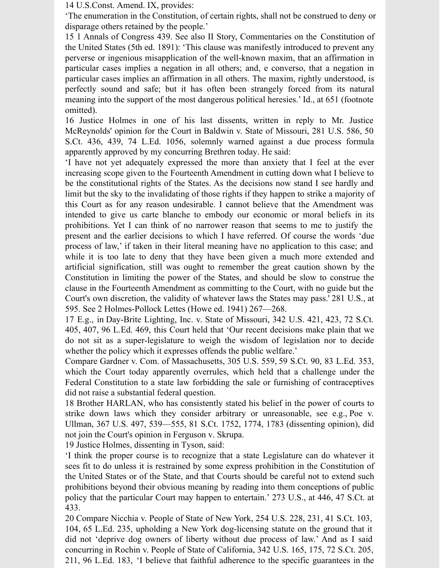[14](https://1.next.westlaw.com/Document/Id4c70e349c1d11d991d0cc6b54f12d4d/View/FullText.html?transitionType=UniqueDocItem&contextData=(sc.Default)&userEnteredCitation=381+us+479#co_fnRef_B025141965125098_ID0EUEDI) [U.S.Const.](https://1.next.westlaw.com/Link/Document/FullText?findType=L&pubNum=1000546&cite=USCOAMENDIX&originatingDoc=Id4c70e349c1d11d991d0cc6b54f12d4d&refType=LQ&originationContext=document&transitionType=DocumentItem&ppcid=ab4473be1fc04f8a8f4519c725ecda91&contextData=(sc.UserEnteredCitation)) Amend. IX, provides:

'The enumeration in the Constitution, of certain rights, shall not be construed to deny or disparage others retained by the people.'

[15](https://1.next.westlaw.com/Document/Id4c70e349c1d11d991d0cc6b54f12d4d/View/FullText.html?transitionType=UniqueDocItem&contextData=(sc.Default)&userEnteredCitation=381+us+479#co_fnRef_B026151965125098_ID0EYFDI) 1 Annals of Congress 439. See also II Story, [Commentaries](https://1.next.westlaw.com/Link/Document/FullText?findType=L&pubNum=1000546&cite=USCOARTV&originatingDoc=Id4c70e349c1d11d991d0cc6b54f12d4d&refType=LQ&originationContext=document&transitionType=DocumentItem&ppcid=ab4473be1fc04f8a8f4519c725ecda91&contextData=(sc.UserEnteredCitation)) on the Constitution of the United States (5th ed. 1891): 'This clause was manifestly introduced to prevent any perverse or ingenious misapplication of the well-known maxim, that an affirmation in particular cases implies a negation in all others; and, e converso, that a negation in particular cases implies an affirmation in all others. The maxim, rightly understood, is perfectly sound and safe; but it has often been strangely forced from its natural meaning into the support of the most dangerous political heresies.' Id., at 651 (footnote omitted).

[16](https://1.next.westlaw.com/Document/Id4c70e349c1d11d991d0cc6b54f12d4d/View/FullText.html?transitionType=UniqueDocItem&contextData=(sc.Default)&userEnteredCitation=381+us+479#co_fnRef_B027161965125098_ID0ECNDI) Justice Holmes in one of his last dissents, written in reply to Mr. Justice [McReynolds'](https://1.next.westlaw.com/Link/Document/FullText?findType=Y&serNum=1930122102&pubNum=708&originatingDoc=Id4c70e349c1d11d991d0cc6b54f12d4d&refType=RP&fi=co_pp_sp_708_439&originationContext=document&transitionType=DocumentItem&ppcid=ab4473be1fc04f8a8f4519c725ecda91&contextData=(sc.UserEnteredCitation)#co_pp_sp_708_439) opinion for the Court in Baldwin v. State of Missouri, 281 U.S. 586, 50 S.Ct. 436, 439, 74 L.Ed. 1056, solemnly warned against a due process formula apparently approved by my concurring Brethren today. He said:

'I have not yet adequately expressed the more than anxiety that I feel at the ever increasing scope given to the Fourteenth Amendment in cutting down what I believe to be the constitutional rights of the States. As the decisions now stand I see hardly and limit but the sky to the invalidating of those rights if they happen to strike a majority of this Court as for any reason undesirable. I cannot believe that the Amendment was intended to give us carte blanche to embody our economic or moral beliefs in its prohibitions. Yet I can think of no narrower reason that seems to me to justify the present and the earlier decisions to which I have referred. Of course the words 'due process of law,' if taken in their literal meaning have no application to this case; and while it is too late to deny that they have been given a much more extended and artificial signification, still was ought to remember the great caution shown by the Constitution in limiting the power of the States, and should be slow to construe the clause in the Fourteenth Amendment as committing to the Court, with no guide but the Court's own discretion, the validity of whatever laws the States may pass.' 281 U.S., at 595. See 2 [Holmes-Pollock](https://1.next.westlaw.com/Link/Document/FullText?findType=Y&serNum=1930122102&pubNum=780&originatingDoc=Id4c70e349c1d11d991d0cc6b54f12d4d&refType=RP&fi=co_pp_sp_780_595&originationContext=document&transitionType=DocumentItem&ppcid=ab4473be1fc04f8a8f4519c725ecda91&contextData=(sc.UserEnteredCitation)#co_pp_sp_780_595) Lettes (Howe ed. 1941) 267—268.

[17](https://1.next.westlaw.com/Document/Id4c70e349c1d11d991d0cc6b54f12d4d/View/FullText.html?transitionType=UniqueDocItem&contextData=(sc.Default)&userEnteredCitation=381+us+479#co_fnRef_B028171965125098_ID0EORDI) E.g., in [Day-Brite](https://1.next.westlaw.com/Link/Document/FullText?findType=Y&serNum=1952116884&pubNum=708&originatingDoc=Id4c70e349c1d11d991d0cc6b54f12d4d&refType=RP&fi=co_pp_sp_708_407&originationContext=document&transitionType=DocumentItem&ppcid=ab4473be1fc04f8a8f4519c725ecda91&contextData=(sc.UserEnteredCitation)#co_pp_sp_708_407) Lighting, Inc. v. State of Missouri, 342 U.S. 421, 423, 72 S.Ct. 405, 407, 96 L.Ed. 469, this Court held that 'Our recent decisions make plain that we do not sit as a super-legislature to weigh the wisdom of legislation nor to decide whether the policy which it expresses offends the public welfare.'

Compare Gardner v. Com. of [Massachusetts,](https://1.next.westlaw.com/Link/Document/FullText?findType=Y&serNum=1938201808&pubNum=780&originatingDoc=Id4c70e349c1d11d991d0cc6b54f12d4d&refType=RP&originationContext=document&transitionType=DocumentItem&ppcid=ab4473be1fc04f8a8f4519c725ecda91&contextData=(sc.UserEnteredCitation)) 305 U.S. 559, 59 [S.Ct.](https://1.next.westlaw.com/Link/Document/FullText?findType=Y&pubNum=708&cite=59SCT90&originatingDoc=Id4c70e349c1d11d991d0cc6b54f12d4d&refType=RP&originationContext=document&transitionType=DocumentItem&ppcid=ab4473be1fc04f8a8f4519c725ecda91&contextData=(sc.UserEnteredCitation)) 90, 83 [L.Ed.](https://1.next.westlaw.com/Link/Document/FullText?findType=Y&pubNum=470&cite=83LED353&originatingDoc=Id4c70e349c1d11d991d0cc6b54f12d4d&refType=RP&originationContext=document&transitionType=DocumentItem&ppcid=ab4473be1fc04f8a8f4519c725ecda91&contextData=(sc.UserEnteredCitation)) 353, which the Court today apparently overrules, which held that a challenge under the Federal Constitution to a state law forbidding the sale or furnishing of contraceptives did not raise a substantial federal question.

[18](https://1.next.westlaw.com/Document/Id4c70e349c1d11d991d0cc6b54f12d4d/View/FullText.html?transitionType=UniqueDocItem&contextData=(sc.Default)&userEnteredCitation=381+us+479#co_fnRef_B029181965125098_ID0EWUDI) Brother HARLAN, who has consistently stated his belief in the power of courts to strike down laws which they consider arbitrary or [unreasonable,](https://1.next.westlaw.com/Link/Document/FullText?findType=Y&serNum=1961103584&pubNum=708&originatingDoc=Id4c70e349c1d11d991d0cc6b54f12d4d&refType=RP&fi=co_pp_sp_708_1774&originationContext=document&transitionType=DocumentItem&ppcid=ab4473be1fc04f8a8f4519c725ecda91&contextData=(sc.UserEnteredCitation)#co_pp_sp_708_1774) see e.g., Poe v. Ullman, 367 U.S. 497, 539—555, 81 S.Ct. 1752, 1774, 1783 (dissenting opinion), did not join the Court's opinion in Ferguson v. Skrupa.

[19](https://1.next.westlaw.com/Document/Id4c70e349c1d11d991d0cc6b54f12d4d/View/FullText.html?transitionType=UniqueDocItem&contextData=(sc.Default)&userEnteredCitation=381+us+479#co_fnRef_B030191965125098_ID0EBXDI) Justice Holmes, dissenting in Tyson, said:

'I think the proper course is to recognize that a state Legislature can do whatever it sees fit to do unless it is restrained by some express prohibition in the Constitution of the United States or of the State, and that Courts should be careful not to extend such prohibitions beyond their obvious meaning by reading into them conceptions of public policy that the particular Court may happen to [entertain.'](https://1.next.westlaw.com/Link/Document/FullText?findType=Y&serNum=1927124412&pubNum=708&originatingDoc=Id4c70e349c1d11d991d0cc6b54f12d4d&refType=RP&fi=co_pp_sp_708_433&originationContext=document&transitionType=DocumentItem&ppcid=ab4473be1fc04f8a8f4519c725ecda91&contextData=(sc.UserEnteredCitation)#co_pp_sp_708_433) 273 U.S., at 446, 47 S.Ct. at 433.

[20](https://1.next.westlaw.com/Document/Id4c70e349c1d11d991d0cc6b54f12d4d/View/FullText.html?transitionType=UniqueDocItem&contextData=(sc.Default)&userEnteredCitation=381+us+479#co_fnRef_B031201965125098_ID0EEYDI) Compare Nicchia v. People of State of New York, 254 U.S. 228, 231, 41 S.Ct. 103, 104, 65 L.Ed. 235, upholding a New York [dog-licensing](https://1.next.westlaw.com/Link/Document/FullText?findType=Y&serNum=1920118534&pubNum=708&originatingDoc=Id4c70e349c1d11d991d0cc6b54f12d4d&refType=RP&fi=co_pp_sp_708_104&originationContext=document&transitionType=DocumentItem&ppcid=ab4473be1fc04f8a8f4519c725ecda91&contextData=(sc.UserEnteredCitation)#co_pp_sp_708_104) statute on the ground that it did not 'deprive dog owners of liberty without due process of law.' And as I said [concurring](https://1.next.westlaw.com/Link/Document/FullText?findType=Y&serNum=1952118934&pubNum=708&originatingDoc=Id4c70e349c1d11d991d0cc6b54f12d4d&refType=RP&fi=co_pp_sp_708_211&originationContext=document&transitionType=DocumentItem&ppcid=ab4473be1fc04f8a8f4519c725ecda91&contextData=(sc.UserEnteredCitation)#co_pp_sp_708_211) in Rochin v. People of State of California, 342 U.S. 165, 175, 72 S.Ct. 205, 211, 96 L.Ed. 183, 'I believe that faithful adherence to the specific guarantees in the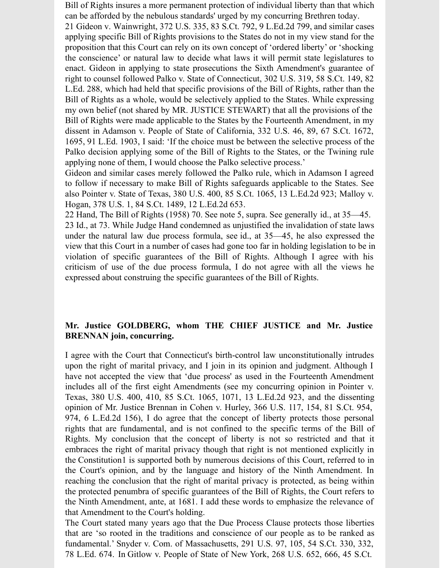Bill of Rights insures a more permanent protection of individual liberty than that which can be afforded by the nebulous standards' urged by my concurring Brethren today.

[21](https://1.next.westlaw.com/Document/Id4c70e349c1d11d991d0cc6b54f12d4d/View/FullText.html?transitionType=UniqueDocItem&contextData=(sc.Default)&userEnteredCitation=381+us+479#co_fnRef_B032211965125098_ID0EK6DI) Gideon v. [Wainwright,](https://1.next.westlaw.com/Link/Document/FullText?findType=Y&serNum=1963125313&pubNum=708&originatingDoc=Id4c70e349c1d11d991d0cc6b54f12d4d&refType=RP&originationContext=document&transitionType=DocumentItem&ppcid=ab4473be1fc04f8a8f4519c725ecda91&contextData=(sc.UserEnteredCitation)) 372 U.S. 335, 83 S.Ct. 792, 9 L.Ed.2d 799, and similar cases applying specific Bill of Rights provisions to the States do not in my view stand for the proposition that this Court can rely on its own concept of 'ordered liberty' or 'shocking the conscience' or natural law to decide what laws it will permit state legislatures to enact. Gideon in applying to state prosecutions the Sixth Amendment's guarantee of right to counsel followed Palko v. State of [Connecticut,](https://1.next.westlaw.com/Link/Document/FullText?findType=Y&serNum=1937123063&pubNum=708&originatingDoc=Id4c70e349c1d11d991d0cc6b54f12d4d&refType=RP&originationContext=document&transitionType=DocumentItem&ppcid=ab4473be1fc04f8a8f4519c725ecda91&contextData=(sc.UserEnteredCitation)) 302 U.S. 319, 58 S.Ct. 149, 82 L.Ed. 288, which had held that specific provisions of the Bill of Rights, rather than the Bill of Rights as a whole, would be selectively applied to the States. While expressing my own belief (not shared by MR. JUSTICE STEWART) that all the provisions of the Bill of Rights were made applicable to the States by the Fourteenth Amendment, in my dissent in Adamson v. People of State of [California,](https://1.next.westlaw.com/Link/Document/FullText?findType=Y&serNum=1947114039&pubNum=708&originatingDoc=Id4c70e349c1d11d991d0cc6b54f12d4d&refType=RP&fi=co_pp_sp_708_1695&originationContext=document&transitionType=DocumentItem&ppcid=ab4473be1fc04f8a8f4519c725ecda91&contextData=(sc.UserEnteredCitation)#co_pp_sp_708_1695) 332 U.S. 46, 89, 67 S.Ct. 1672, 1695, 91 L.Ed. 1903, I said: 'If the choice must be between the selective process of the Palko decision applying some of the Bill of Rights to the States, or the Twining rule applying none of them, I would choose the Palko selective process.'

Gideon and similar cases merely followed the Palko rule, which in Adamson I agreed to follow if necessary to make Bill of Rights safeguards applicable to the States. See also Pointer v. State of Texas, 380 U.S. 400, 85 S.Ct. 1065, 13 [L.Ed.2d](https://1.next.westlaw.com/Link/Document/FullText?findType=Y&serNum=1964124849&pubNum=708&originatingDoc=Id4c70e349c1d11d991d0cc6b54f12d4d&refType=RP&originationContext=document&transitionType=DocumentItem&ppcid=ab4473be1fc04f8a8f4519c725ecda91&contextData=(sc.UserEnteredCitation)) 923; Malloy v. Hogan, 378 U.S. 1, 84 S.Ct. 1489, 12 L.Ed.2d 653.

[22](https://1.next.westlaw.com/Document/Id4c70e349c1d11d991d0cc6b54f12d4d/View/FullText.html?transitionType=UniqueDocItem&contextData=(sc.Default)&userEnteredCitation=381+us+479#co_fnRef_B033221965125098_ID0E6CAK) Hand, The Bill of Rights (1958) 70. See note 5, supra. See generally id., at [35—45](https://1.next.westlaw.com/Link/Document/FullText?findType=Y&serNum=1964124849&originatingDoc=Id4c70e349c1d11d991d0cc6b54f12d4d&refType=RP&originationContext=document&transitionType=DocumentItem&ppcid=ab4473be1fc04f8a8f4519c725ecda91&contextData=(sc.UserEnteredCitation)). [23](https://1.next.westlaw.com/Document/Id4c70e349c1d11d991d0cc6b54f12d4d/View/FullText.html?transitionType=UniqueDocItem&contextData=(sc.Default)&userEnteredCitation=381+us+479#co_fnRef_B034231965125098_ID0EVEAK) Id., at 73. While Judge Hand condemned as unjustified the invalidation of state laws under the natural law due process formula, see id., at [35—45,](https://1.next.westlaw.com/Link/Document/FullText?findType=Y&serNum=1964124849&originatingDoc=Id4c70e349c1d11d991d0cc6b54f12d4d&refType=RP&originationContext=document&transitionType=DocumentItem&ppcid=ab4473be1fc04f8a8f4519c725ecda91&contextData=(sc.UserEnteredCitation)) he also expressed the view that this Court in a number of cases had gone too far in holding legislation to be in violation of specific guarantees of the Bill of Rights. Although I agree with his criticism of use of the due process formula, I do not agree with all the views he expressed about construing the specific guarantees of the Bill of Rights.

## **Mr. Justice GOLDBERG, whom THE CHIEF JUSTICE and Mr. Justice BRENNAN join, concurring.**

I agree with the Court that Connecticut's birth-control law unconstitutionally intrudes upon the right of marital privacy, and I join in its opinion and judgment. Although I have not accepted the view that 'due process' as used in the Fourteenth Amendment includes all of the first eight [Amendments](https://1.next.westlaw.com/Link/Document/FullText?findType=Y&serNum=1965125051&pubNum=708&originatingDoc=Id4c70e349c1d11d991d0cc6b54f12d4d&refType=RP&fi=co_pp_sp_708_1071&originationContext=document&transitionType=DocumentItem&ppcid=ab4473be1fc04f8a8f4519c725ecda91&contextData=(sc.UserEnteredCitation)#co_pp_sp_708_1071) (see my concurring opinion in Pointer v. Texas, 380 U.S. 400, 410, 85 S.Ct. 1065, 1071, 13 L.Ed.2d 923, and the dissenting opinion of Mr. Justice [Brennan](https://1.next.westlaw.com/Link/Document/FullText?findType=Y&serNum=1961100810&pubNum=708&originatingDoc=Id4c70e349c1d11d991d0cc6b54f12d4d&refType=RP&fi=co_pp_sp_708_974&originationContext=document&transitionType=DocumentItem&ppcid=ab4473be1fc04f8a8f4519c725ecda91&contextData=(sc.UserEnteredCitation)#co_pp_sp_708_974) in Cohen v. Hurley, 366 U.S. 117, 154, 81 S.Ct. 954, 974, 6 L.Ed.2d 156), I do agree that the concept of liberty protects those personal rights that are fundamental, and is not confined to the specific terms of the Bill of Rights. My conclusion that the concept of liberty is not so restricted and that it embraces the right of marital privacy though that right is not mentioned explicitly in the Constitutio[n1](https://1.next.westlaw.com/Document/Id4c70e349c1d11d991d0cc6b54f12d4d/View/FullText.html?transitionType=UniqueDocItem&contextData=(sc.Default)&userEnteredCitation=381+us+479#co_footnote_B00211965125098) is supported both by numerous decisions of this Court, referred to in the Court's opinion, and by the language and history of the Ninth Amendment. In reaching the conclusion that the right of marital privacy is protected, as being within the protected penumbra of specific guarantees of the Bill of Rights, the Court refers to the Ninth Amendment, ante, at 1681. I add these words to emphasize the relevance of that Amendment to the Court's holding.

The Court stated many years ago that the Due Process Clause protects those liberties that are 'so rooted in the traditions and conscience of our people as to be ranked as fundamental.' Snyder v. Com. of [Massachusetts,](https://1.next.westlaw.com/Link/Document/FullText?findType=Y&serNum=1934124471&pubNum=708&originatingDoc=Id4c70e349c1d11d991d0cc6b54f12d4d&refType=RP&fi=co_pp_sp_708_332&originationContext=document&transitionType=DocumentItem&ppcid=ab4473be1fc04f8a8f4519c725ecda91&contextData=(sc.UserEnteredCitation)#co_pp_sp_708_332) 291 U.S. 97, 105, 54 S.Ct. 330, 332, 78 L.Ed. 674. In [Gitlow](https://1.next.westlaw.com/Link/Document/FullText?findType=Y&serNum=1925121882&pubNum=708&originatingDoc=Id4c70e349c1d11d991d0cc6b54f12d4d&refType=RP&fi=co_pp_sp_708_630&originationContext=document&transitionType=DocumentItem&ppcid=ab4473be1fc04f8a8f4519c725ecda91&contextData=(sc.UserEnteredCitation)#co_pp_sp_708_630) v. People of State of New York, 268 U.S. 652, 666, 45 S.Ct.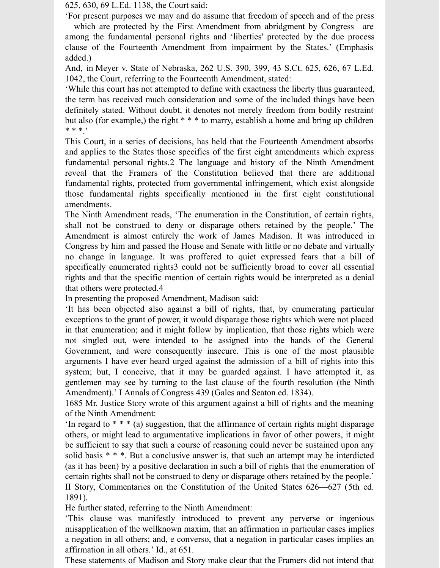625, 630, 69 L.Ed. 1138, the Court said:

'For present purposes we may and do assume that freedom of speech and of the press —which are protected by the First Amendment from abridgment by Congress—are among the fundamental personal rights and 'liberties' protected by the due process clause of the Fourteenth Amendment from impairment by the States.' (Emphasis added.)

And, in Meyer v. State of Nebraska, 262 U.S. 390, 399, 43 S.Ct. 625, 626, 67 L.Ed. 1042, the Court, referring to the Fourteenth [Amendment,](https://1.next.westlaw.com/Link/Document/FullText?findType=Y&serNum=1923120440&pubNum=708&originatingDoc=Id4c70e349c1d11d991d0cc6b54f12d4d&refType=RP&fi=co_pp_sp_708_626&originationContext=document&transitionType=DocumentItem&ppcid=ab4473be1fc04f8a8f4519c725ecda91&contextData=(sc.UserEnteredCitation)#co_pp_sp_708_626) stated:

'While this court has not attempted to define with exactness the liberty thus guaranteed, the term has received much consideration and some of the included things have been definitely stated. Without doubt, it denotes not merely freedom from bodily restraint but also (for example,) the right \* \* \* to marry, establish a home and bring up children \* \* \*.'

This Court, in a series of decisions, has held that the Fourteenth Amendment absorbs and applies to the States those specifics of the first eight amendments which express fundamental personal rights[.2](https://1.next.westlaw.com/Document/Id4c70e349c1d11d991d0cc6b54f12d4d/View/FullText.html?transitionType=UniqueDocItem&contextData=(sc.Default)&userEnteredCitation=381+us+479#co_footnote_B00321965125098) The language and history of the Ninth Amendment reveal that the Framers of the Constitution believed that there are additional fundamental rights, protected from governmental infringement, which exist alongside those fundamental rights specifically mentioned in the first eight constitutional amendments.

The Ninth Amendment reads, 'The enumeration in the Constitution, of certain rights, shall not be construed to deny or disparage others retained by the people.' The Amendment is almost entirely the work of James Madison. It was introduced in Congress by him and passed the House and Senate with little or no debate and virtually no change in language. It was proffered to quiet expressed fears that a bill of specifically enumerated rights[3](https://1.next.westlaw.com/Document/Id4c70e349c1d11d991d0cc6b54f12d4d/View/FullText.html?transitionType=UniqueDocItem&contextData=(sc.Default)&userEnteredCitation=381+us+479#co_footnote_B00431965125098) could not be sufficiently broad to cover all essential rights and that the specific mention of certain rights would be interpreted as a denial that others were protected.[4](https://1.next.westlaw.com/Document/Id4c70e349c1d11d991d0cc6b54f12d4d/View/FullText.html?transitionType=UniqueDocItem&contextData=(sc.Default)&userEnteredCitation=381+us+479#co_footnote_B00541965125098)

In presenting the proposed Amendment, Madison said:

'It has been objected also against a bill of rights, that, by enumerating particular exceptions to the grant of power, it would disparage those rights which were not placed in that enumeration; and it might follow by implication, that those rights which were not singled out, were intended to be assigned into the hands of the General Government, and were consequently insecure. This is one of the most plausible arguments I have ever heard urged against the admission of a bill of rights into this system; but, I conceive, that it may be guarded against. I have attempted it, as gentlemen may see by turning to the last clause of the fourth resolution (the Ninth Amendment).' I Annals of Congress 439 (Gales and Seaton ed. 1834).

1685 Mr. Justice Story wrote of this argument against a bill of rights and the meaning of the Ninth Amendment:

'In regard to \* \* \* (a) suggestion, that the affirmance of certain rights might disparage others, or might lead to argumentative implications in favor of other powers, it might be sufficient to say that such a course of reasoning could never be sustained upon any solid basis \* \* \*. But a conclusive answer is, that such an attempt may be interdicted (as it has been) by a positive declaration in such a bill of rights that the enumeration of certain rights shall not be construed to deny or disparage others retained by the people.' II Story, [Commentaries](https://1.next.westlaw.com/Link/Document/FullText?findType=L&pubNum=1000546&cite=USCOARTV&originatingDoc=Id4c70e349c1d11d991d0cc6b54f12d4d&refType=LQ&originationContext=document&transitionType=DocumentItem&ppcid=ab4473be1fc04f8a8f4519c725ecda91&contextData=(sc.UserEnteredCitation)) on the Constitution of the United States 626—627 (5th ed. 1891).

He further stated, referring to the Ninth Amendment:

'This clause was manifestly introduced to prevent any perverse or ingenious misapplication of the wellknown maxim, that an affirmation in particular cases implies a negation in all others; and, e converso, that a negation in particular cases implies an affirmation in all others.' Id., at 651.

These statements of Madison and Story make clear that the Framers did not intend that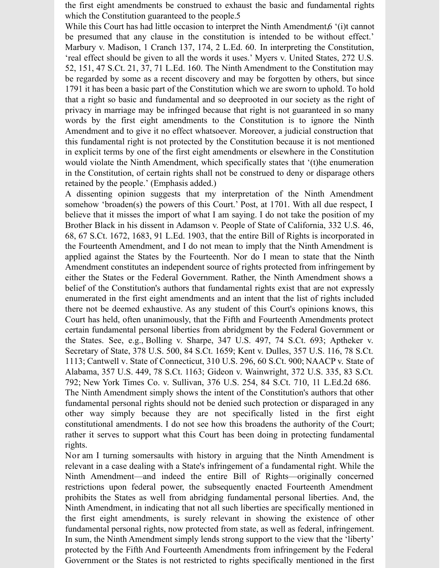the first eight amendments be construed to exhaust the basic and fundamental rights which the Constitution guaranteed to the people[.5](https://1.next.westlaw.com/Document/Id4c70e349c1d11d991d0cc6b54f12d4d/View/FullText.html?transitionType=UniqueDocItem&contextData=(sc.Default)&userEnteredCitation=381+us+479#co_footnote_B00651965125098)

While this Court has had little occasion to interpret the Ninth Amendment, 6 '(i)t cannot be presumed that any clause in the constitution is intended to be without effect.' Marbury v. [Madison,](https://1.next.westlaw.com/Link/Document/FullText?findType=Y&serNum=1801123932&pubNum=780&originatingDoc=Id4c70e349c1d11d991d0cc6b54f12d4d&refType=RP&fi=co_pp_sp_780_174&originationContext=document&transitionType=DocumentItem&ppcid=ab4473be1fc04f8a8f4519c725ecda91&contextData=(sc.UserEnteredCitation)#co_pp_sp_780_174) 1 Cranch 137, 174, 2 L.Ed. 60. In interpreting the Constitution, 'real effect should be given to all the words it uses.' Myers v. United States, 272 U.S. 52, 151, 47 S.Ct. 21, 37, 71 L.Ed. 160. The Ninth [Amendment](https://1.next.westlaw.com/Link/Document/FullText?findType=Y&serNum=1926122125&pubNum=708&originatingDoc=Id4c70e349c1d11d991d0cc6b54f12d4d&refType=RP&fi=co_pp_sp_708_37&originationContext=document&transitionType=DocumentItem&ppcid=ab4473be1fc04f8a8f4519c725ecda91&contextData=(sc.UserEnteredCitation)#co_pp_sp_708_37) to the Constitution may be regarded by some as a recent discovery and may be forgotten by others, but since 1791 it has been a basic part of the Constitution which we are sworn to uphold. To hold that a right so basic and fundamental and so deeprooted in our society as the right of privacy in marriage may be infringed because that right is not guaranteed in so many words by the first eight amendments to the Constitution is to ignore the Ninth Amendment and to give it no effect whatsoever. Moreover, a judicial construction that this fundamental right is not protected by the Constitution because it is not mentioned in explicit terms by one of the first eight amendments or elsewhere in the Constitution would violate the Ninth Amendment, which specifically states that '(t)he enumeration in the Constitution, of certain rights shall not be construed to deny or disparage others retained by the people.' (Emphasis added.)

A dissenting opinion suggests that my interpretation of the Ninth Amendment somehow 'broaden(s) the powers of this Court.' Post, at 1701. With all due respect, I believe that it misses the import of what I am saying. I do not take the position of my Brother Black in his dissent in Adamson v. People of State of California, 332 U.S. 46, 68, 67 S.Ct. 1672, 1683, 91 L.Ed. 1903, that the entire Bill of Rights is [incorporated](https://1.next.westlaw.com/Link/Document/FullText?findType=Y&serNum=1947114039&pubNum=708&originatingDoc=Id4c70e349c1d11d991d0cc6b54f12d4d&refType=RP&fi=co_pp_sp_708_1683&originationContext=document&transitionType=DocumentItem&ppcid=ab4473be1fc04f8a8f4519c725ecda91&contextData=(sc.UserEnteredCitation)#co_pp_sp_708_1683) in the Fourteenth Amendment, and I do not mean to imply that the Ninth Amendment is applied against the States by the Fourteenth. Nor do I mean to state that the Ninth Amendment constitutes an independent source of rights protected from infringement by either the States or the Federal Government. Rather, the Ninth Amendment shows a belief of the Constitution's authors that fundamental rights exist that are not expressly enumerated in the first eight amendments and an intent that the list of rights included there not be deemed exhaustive. As any student of this Court's opinions knows, this Court has held, often unanimously, that the Fifth and Fourteenth Amendments protect certain fundamental personal liberties from abridgment by the Federal Government or the States. See, e.g., Bolling v. [Sharpe,](https://1.next.westlaw.com/Link/Document/FullText?findType=Y&serNum=1954117300&pubNum=708&originatingDoc=Id4c70e349c1d11d991d0cc6b54f12d4d&refType=RP&originationContext=document&transitionType=DocumentItem&ppcid=ab4473be1fc04f8a8f4519c725ecda91&contextData=(sc.UserEnteredCitation)) 347 U.S. 497, 74 S.Ct. 693; [Aptheker](https://1.next.westlaw.com/Link/Document/FullText?findType=Y&serNum=1964100215&pubNum=708&originatingDoc=Id4c70e349c1d11d991d0cc6b54f12d4d&refType=RP&originationContext=document&transitionType=DocumentItem&ppcid=ab4473be1fc04f8a8f4519c725ecda91&contextData=(sc.UserEnteredCitation)) v. Secretary of State, 378 U.S. 500, 84 S.Ct. 1659; Kent v. Dulles, 357 U.S. 116, 78 S.Ct. 1113; Cantwell v. State of [Connecticut,](https://1.next.westlaw.com/Link/Document/FullText?findType=Y&serNum=1958121466&pubNum=708&originatingDoc=Id4c70e349c1d11d991d0cc6b54f12d4d&refType=RP&originationContext=document&transitionType=DocumentItem&ppcid=ab4473be1fc04f8a8f4519c725ecda91&contextData=(sc.UserEnteredCitation)) 310 U.S. 296, 60 S.Ct. 900; NAACP v. State of Alabama, 357 U.S. 449, 78 S.Ct. 1163; Gideon v. [Wainwright,](https://1.next.westlaw.com/Link/Document/FullText?findType=Y&serNum=1963125313&pubNum=708&originatingDoc=Id4c70e349c1d11d991d0cc6b54f12d4d&refType=RP&originationContext=document&transitionType=DocumentItem&ppcid=ab4473be1fc04f8a8f4519c725ecda91&contextData=(sc.UserEnteredCitation)) 372 U.S. 335, 83 S.Ct. 792; New York Times Co. v. [Sullivan,](https://1.next.westlaw.com/Link/Document/FullText?findType=Y&serNum=1964124777&pubNum=708&originatingDoc=Id4c70e349c1d11d991d0cc6b54f12d4d&refType=RP&originationContext=document&transitionType=DocumentItem&ppcid=ab4473be1fc04f8a8f4519c725ecda91&contextData=(sc.UserEnteredCitation)) 376 U.S. 254, 84 S.Ct. 710, 11 L.Ed.2d 686. The Ninth Amendment simply shows the intent of the Constitution's authors that other fundamental personal rights should not be denied such protection or disparaged in any other way simply because they are not specifically listed in the first eight constitutional amendments. I do not see how this broadens the authority of the Court; rather it serves to support what this Court has been doing in protecting fundamental rights.

Nor [am](https://1.next.westlaw.com/Link/Document/FullText?findType=L&pubNum=1000546&cite=USCOAMENDI&originatingDoc=Id4c70e349c1d11d991d0cc6b54f12d4d&refType=LQ&originationContext=document&transitionType=DocumentItem&ppcid=ab4473be1fc04f8a8f4519c725ecda91&contextData=(sc.UserEnteredCitation)) I turning somersaults with history in arguing that the Ninth Amendment is relevant in a case dealing with a State's infringement of a fundamental right. While the Ninth Amendment—and indeed the entire Bill of Rights—originally concerned restrictions upon federal power, the subsequently enacted Fourteenth Amendment prohibits the States as well from abridging fundamental personal liberties. And, the Ninth Amendment, in indicating that not all such liberties are specifically mentioned in the first eight amendments, is surely relevant in showing the existence of other fundamental personal rights, now protected from state, as well as federal, infringement. In sum, the Ninth Amendment simply lends strong support to the view that the 'liberty' protected by the Fifth And Fourteenth Amendments from infringement by the Federal Government or the States is not restricted to rights specifically mentioned in the first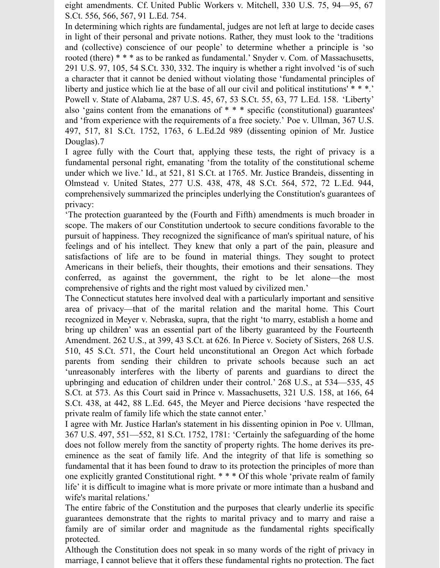eight [amendments.](https://1.next.westlaw.com/Link/Document/FullText?findType=Y&serNum=1947117127&pubNum=708&originatingDoc=Id4c70e349c1d11d991d0cc6b54f12d4d&refType=RP&fi=co_pp_sp_708_566&originationContext=document&transitionType=DocumentItem&ppcid=ab4473be1fc04f8a8f4519c725ecda91&contextData=(sc.UserEnteredCitation)#co_pp_sp_708_566) Cf. United Public Workers v. Mitchell, 330 U.S. 75, 94—95, 67 S.Ct. 556, 566, 567, 91 L.Ed. 754.

In determining which rights are fundamental, judges are not left at large to decide cases in light of their personal and private notions. Rather, they must look to the 'traditions and (collective) conscience of our people' to determine whether a principle is 'so rooted (there) \* \* \* as to be ranked as fundamental.' Snyder v. Com. of [Massachusetts,](https://1.next.westlaw.com/Link/Document/FullText?findType=Y&serNum=1934124471&pubNum=708&originatingDoc=Id4c70e349c1d11d991d0cc6b54f12d4d&refType=RP&fi=co_pp_sp_708_332&originationContext=document&transitionType=DocumentItem&ppcid=ab4473be1fc04f8a8f4519c725ecda91&contextData=(sc.UserEnteredCitation)#co_pp_sp_708_332) 291 U.S. 97, 105, 54 S.Ct. 330, 332. The inquiry is whether a right involved 'is of such a character that it cannot be denied without violating those 'fundamental principles of liberty and justice which lie at the base of all our civil and political institutions' \* \* \*.' Powell v. State of [Alabama,](https://1.next.westlaw.com/Link/Document/FullText?findType=Y&serNum=1932123464&pubNum=708&originatingDoc=Id4c70e349c1d11d991d0cc6b54f12d4d&refType=RP&fi=co_pp_sp_708_63&originationContext=document&transitionType=DocumentItem&ppcid=ab4473be1fc04f8a8f4519c725ecda91&contextData=(sc.UserEnteredCitation)#co_pp_sp_708_63) 287 U.S. 45, 67, 53 S.Ct. 55, 63, 77 L.Ed. 158. 'Liberty' also 'gains content from the emanations of \* \* \* specific (constitutional) guarantees' and 'from experience with the [requirements](https://1.next.westlaw.com/Link/Document/FullText?findType=Y&serNum=1961103584&pubNum=708&originatingDoc=Id4c70e349c1d11d991d0cc6b54f12d4d&refType=RP&fi=co_pp_sp_708_1763&originationContext=document&transitionType=DocumentItem&ppcid=ab4473be1fc04f8a8f4519c725ecda91&contextData=(sc.UserEnteredCitation)#co_pp_sp_708_1763) of a free society.' Poe v. Ullman, 367 U.S. 497, 517, 81 S.Ct. 1752, 1763, 6 L.Ed.2d 989 (dissenting opinion of Mr. Justice Douglas)[.7](https://1.next.westlaw.com/Document/Id4c70e349c1d11d991d0cc6b54f12d4d/View/FullText.html?transitionType=UniqueDocItem&contextData=(sc.Default)&userEnteredCitation=381+us+479#co_footnote_B00871965125098)

I agree fully with the Court that, applying these tests, the right of privacy is a fundamental personal right, emanating 'from the totality of the constitutional scheme under which we live.' Id., at 521, 81 S.Ct. at [1765.](https://1.next.westlaw.com/Link/Document/FullText?findType=Y&serNum=1961103584&pubNum=708&originatingDoc=Id4c70e349c1d11d991d0cc6b54f12d4d&refType=RP&fi=co_pp_sp_708_1765&originationContext=document&transitionType=DocumentItem&ppcid=ab4473be1fc04f8a8f4519c725ecda91&contextData=(sc.UserEnteredCitation)#co_pp_sp_708_1765) Mr. Justice Brandeis, dissenting in [Olmstead](https://1.next.westlaw.com/Link/Document/FullText?findType=Y&serNum=1928126400&pubNum=708&originatingDoc=Id4c70e349c1d11d991d0cc6b54f12d4d&refType=RP&fi=co_pp_sp_708_572&originationContext=document&transitionType=DocumentItem&ppcid=ab4473be1fc04f8a8f4519c725ecda91&contextData=(sc.UserEnteredCitation)#co_pp_sp_708_572) v. United States, 277 U.S. 438, 478, 48 S.Ct. 564, 572, 72 L.Ed. 944, comprehensively summarized the principles underlying the Constitution's guarantees of privacy:

'The protection guaranteed by the (Fourth and Fifth) amendments is much broader in scope. The makers of our Constitution undertook to secure conditions favorable to the pursuit of happiness. They recognized the significance of man's spiritual nature, of his feelings and of his intellect. They knew that only a part of the pain, pleasure and satisfactions of life are to be found in material things. They sought to protect Americans in their beliefs, their thoughts, their emotions and their sensations. They conferred, as against the government, the right to be let alone—the most comprehensive of rights and the right most valued by civilized men.'

The Connecticut statutes here involved deal with a particularly important and sensitive area of privacy—that of the marital relation and the marital home. This Court recognized in Meyer v. Nebraska, supra, that the right 'to marry, establish a home and bring up children' was an essential part of the liberty guaranteed by the Fourteenth Amendment. 262 [U.S.,](https://1.next.westlaw.com/Link/Document/FullText?findType=Y&serNum=1923120440&pubNum=708&originatingDoc=Id4c70e349c1d11d991d0cc6b54f12d4d&refType=RP&fi=co_pp_sp_708_626&originationContext=document&transitionType=DocumentItem&ppcid=ab4473be1fc04f8a8f4519c725ecda91&contextData=(sc.UserEnteredCitation)#co_pp_sp_708_626) at 399, 43 S.Ct. at 626. In Pierce v. Society of Sisters, 268 U.S. 510, 45 S.Ct. 571, the Court held [unconstitutional](https://1.next.westlaw.com/Link/Document/FullText?findType=Y&serNum=1925122126&pubNum=708&originatingDoc=Id4c70e349c1d11d991d0cc6b54f12d4d&refType=RP&originationContext=document&transitionType=DocumentItem&ppcid=ab4473be1fc04f8a8f4519c725ecda91&contextData=(sc.UserEnteredCitation)) an Oregon Act which forbade parents from sending their children to private schools because such an act 'unreasonably interferes with the liberty of parents and guardians to direct the upbringing and education of children under their control.' 268 U.S., at 534—535, 45 S.Ct. at 573. As this Court said in Prince v. [Massachusetts,](https://1.next.westlaw.com/Link/Document/FullText?findType=Y&serNum=1925122126&pubNum=708&originatingDoc=Id4c70e349c1d11d991d0cc6b54f12d4d&refType=RP&fi=co_pp_sp_708_573&originationContext=document&transitionType=DocumentItem&ppcid=ab4473be1fc04f8a8f4519c725ecda91&contextData=(sc.UserEnteredCitation)#co_pp_sp_708_573) 321 U.S. 158, at 166, 64 S.Ct. 438, at 442, 88 L.Ed. 645, the Meyer and Pierce decisions 'have respected the private realm of family life which the state cannot enter.'

I agree with Mr. Justice Harlan's statement in his dissenting opinion in Poe v. Ullman, 367 U.S. 497, 551—552, 81 S.Ct. 1752, 1781: 'Certainly the [safeguarding](https://1.next.westlaw.com/Link/Document/FullText?findType=Y&serNum=1961103584&pubNum=708&originatingDoc=Id4c70e349c1d11d991d0cc6b54f12d4d&refType=RP&fi=co_pp_sp_708_1781&originationContext=document&transitionType=DocumentItem&ppcid=ab4473be1fc04f8a8f4519c725ecda91&contextData=(sc.UserEnteredCitation)#co_pp_sp_708_1781) of the home does not follow merely from the sanctity of property rights. The home derives its preeminence as the seat of family life. And the integrity of that life is something so fundamental that it has been found to draw to its protection the principles of more than one explicitly granted Constitutional right. \* \* \* Of this whole 'private realm of family life' it is difficult to imagine what is more private or more intimate than a husband and wife's marital relations.'

The entire fabric of the Constitution and the purposes that clearly underlie its specific guarantees demonstrate that the rights to marital privacy and to marry and raise a family are of similar order and magnitude as the fundamental rights specifically protected.

Although the Constitution does not speak in so many words of the right of privacy in marriage, I cannot believe that it offers these fundamental rights no protection. The fact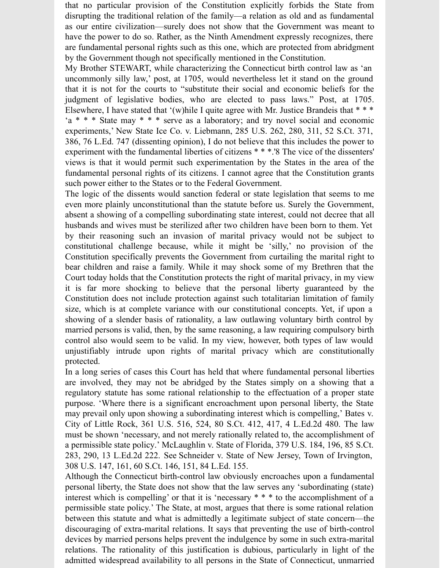that no particular provision of the Constitution explicitly forbids the State from disrupting the traditional relation of the family—a relation as old and as fundamental as our entire civilization—surely does not show that the Government was meant to have the power to do so. Rather, as the Ninth Amendment expressly recognizes, there are fundamental personal rights such as this one, which are protected from abridgment by the Government though not specifically mentioned in the Constitution.

My Brother STEWART, while characterizing the Connecticut birth control law as 'an uncommonly silly law,' post, at 1705, would nevertheless let it stand on the ground that it is not for the courts to "substitute their social and economic beliefs for the judgment of legislative bodies, who are elected to pass laws." Post, at 1705. Elsewhere, I have stated that '(w)hile I quite agree with Mr. Justice Brandeis that  $***$ 'a \* \* \* State may \* \* \* serve as a laboratory; and try novel social and economic [experiments,'](https://1.next.westlaw.com/Link/Document/FullText?findType=Y&serNum=1932123405&pubNum=708&originatingDoc=Id4c70e349c1d11d991d0cc6b54f12d4d&refType=RP&fi=co_pp_sp_708_386&originationContext=document&transitionType=DocumentItem&ppcid=ab4473be1fc04f8a8f4519c725ecda91&contextData=(sc.UserEnteredCitation)#co_pp_sp_708_386) New State Ice Co. v. Liebmann, 285 U.S. 262, 280, 311, 52 S.Ct. 371, 386, 76 L.Ed. 747 (dissenting opinion), I do not believe that this includes the power to experiment with the fundamental liberties of citizens \* \* \*.['8](https://1.next.westlaw.com/Document/Id4c70e349c1d11d991d0cc6b54f12d4d/View/FullText.html?transitionType=UniqueDocItem&contextData=(sc.Default)&userEnteredCitation=381+us+479#co_footnote_B00981965125098) The vice of the dissenters' views is that it would permit such experimentation by the States in the area of the fundamental personal rights of its citizens. I cannot agree that the Constitution grants such power either to the States or to the Federal Government.

The logic of the dissents would sanction federal or state legislation that seems to me even more plainly unconstitutional than the statute before us. Surely the Government, absent a showing of a compelling subordinating state interest, could not decree that all husbands and wives must be sterilized after two children have been born to them. Yet by their reasoning such an invasion of marital privacy would not be subject to constitutional challenge because, while it might be 'silly,' no provision of the Constitution specifically prevents the Government from curtailing the marital right to bear children and raise a family. While it may shock some of my Brethren that the Court today holds that the Constitution protects the right of marital privacy, in my view it is far more shocking to believe that the personal liberty guaranteed by the Constitution does not include protection against such totalitarian limitation of family size, which is at complete variance with our constitutional concepts. Yet, if upon a showing of a slender basis of rationality, a law outlawing voluntary birth control by married persons is valid, then, by the same reasoning, a law requiring compulsory birth control also would seem to be valid. In my view, however, both types of law would unjustifiably intrude upon rights of marital privacy which are constitutionally protected.

In a long series of cases this Court has held that where fundamental personal liberties are involved, they may not be abridged by the States simply on a showing that a regulatory statute has some rational relationship to the effectuation of a proper state purpose. 'Where there is a significant encroachment upon personal liberty, the State may prevail only upon showing a [subordinating](https://1.next.westlaw.com/Link/Document/FullText?findType=Y&serNum=1960100291&pubNum=708&originatingDoc=Id4c70e349c1d11d991d0cc6b54f12d4d&refType=RP&fi=co_pp_sp_708_417&originationContext=document&transitionType=DocumentItem&ppcid=ab4473be1fc04f8a8f4519c725ecda91&contextData=(sc.UserEnteredCitation)#co_pp_sp_708_417) interest which is compelling,' Bates v. City of Little Rock, 361 U.S. 516, 524, 80 S.Ct. 412, 417, 4 L.Ed.2d 480. The law must be shown 'necessary, and not merely rationally related to, the accomplishment of a permissible state policy.' [McLaughlin](https://1.next.westlaw.com/Link/Document/FullText?findType=Y&serNum=1964124890&pubNum=708&originatingDoc=Id4c70e349c1d11d991d0cc6b54f12d4d&refType=RP&fi=co_pp_sp_708_290&originationContext=document&transitionType=DocumentItem&ppcid=ab4473be1fc04f8a8f4519c725ecda91&contextData=(sc.UserEnteredCitation)#co_pp_sp_708_290) v. State of Florida, 379 U.S. 184, 196, 85 S.Ct. 283, 290, 13 L.Ed.2d 222. See [Schneider](https://1.next.westlaw.com/Link/Document/FullText?findType=Y&serNum=1939126946&pubNum=708&originatingDoc=Id4c70e349c1d11d991d0cc6b54f12d4d&refType=RP&fi=co_pp_sp_708_151&originationContext=document&transitionType=DocumentItem&ppcid=ab4473be1fc04f8a8f4519c725ecda91&contextData=(sc.UserEnteredCitation)#co_pp_sp_708_151) v. State of New Jersey, Town of Irvington, 308 U.S. 147, 161, 60 S.Ct. 146, 151, 84 L.Ed. 155.

Although the Connecticut birth-control law obviously encroaches upon a fundamental personal liberty, the State does not show that the law serves any 'subordinating (state) interest which is compelling' or that it is 'necessary \* \* \* to the accomplishment of a permissible state policy.' The State, at most, argues that there is some rational relation between this statute and what is admittedly a legitimate subject of state concern—the discouraging of extra-marital relations. It says that preventing the use of birth-control devices by married persons helps prevent the indulgence by some in such extra-marital relations. The rationality of this justification is dubious, particularly in light of the admitted widespread availability to all persons in the State of Connecticut, unmarried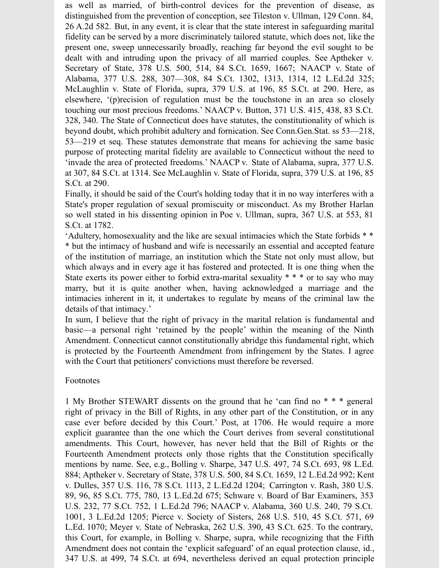as well as married, of birth-control devices for the prevention of disease, as [distinguished](https://1.next.westlaw.com/Link/Document/FullText?findType=Y&serNum=1942123081&pubNum=162&originatingDoc=Id4c70e349c1d11d991d0cc6b54f12d4d&refType=RP&originationContext=document&transitionType=DocumentItem&ppcid=ab4473be1fc04f8a8f4519c725ecda91&contextData=(sc.UserEnteredCitation)) from the prevention of conception, see Tileston v. Ullman, 129 Conn. 84, 26 A.2d 582. But, in any event, it is clear that the state interest in safeguarding marital fidelity can be served by a more discriminately tailored statute, which does not, like the present one, sweep unnecessarily broadly, reaching far beyond the evil sought to be dealt with and intruding upon the privacy of all married couples. See Aptheker v. [Secretary](https://1.next.westlaw.com/Link/Document/FullText?findType=Y&serNum=1964100215&pubNum=708&originatingDoc=Id4c70e349c1d11d991d0cc6b54f12d4d&refType=RP&fi=co_pp_sp_708_1667&originationContext=document&transitionType=DocumentItem&ppcid=ab4473be1fc04f8a8f4519c725ecda91&contextData=(sc.UserEnteredCitation)#co_pp_sp_708_1667) of State, 378 U.S. 500, 514, 84 S.Ct. 1659, 1667; NAACP v. State of Alabama, 377 U.S. 288, [307—308,](https://1.next.westlaw.com/Link/Document/FullText?findType=Y&serNum=1964124841&pubNum=708&originatingDoc=Id4c70e349c1d11d991d0cc6b54f12d4d&refType=RP&fi=co_pp_sp_708_1313&originationContext=document&transitionType=DocumentItem&ppcid=ab4473be1fc04f8a8f4519c725ecda91&contextData=(sc.UserEnteredCitation)#co_pp_sp_708_1313) 84 S.Ct. 1302, 1313, 1314, 12 L.Ed.2d 325; [McLaughlin](https://1.next.westlaw.com/Link/Document/FullText?findType=Y&serNum=1964124890&pubNum=708&originatingDoc=Id4c70e349c1d11d991d0cc6b54f12d4d&refType=RP&fi=co_pp_sp_708_290&originationContext=document&transitionType=DocumentItem&ppcid=ab4473be1fc04f8a8f4519c725ecda91&contextData=(sc.UserEnteredCitation)#co_pp_sp_708_290) v. State of Florida, supra, 379 U.S. at 196, 85 S.Ct. at 290. Here, as elsewhere, '(p)recision of regulation must be the touchstone in an area so closely touching our most precious freedoms.' NAACP v. Button, 371 U.S. 415, 438, 83 S.Ct. 328, 340. The State of Connecticut does have statutes, the [constitutionality](https://1.next.westlaw.com/Link/Document/FullText?findType=Y&serNum=1963125272&pubNum=708&originatingDoc=Id4c70e349c1d11d991d0cc6b54f12d4d&refType=RP&fi=co_pp_sp_708_340&originationContext=document&transitionType=DocumentItem&ppcid=ab4473be1fc04f8a8f4519c725ecda91&contextData=(sc.UserEnteredCitation)#co_pp_sp_708_340) of which is beyond doubt, which prohibit adultery and fornication. See Conn.Gen.Stat. ss 53—218, 53—219 et seq. These statutes demonstrate that means for achieving the same basic purpose of protecting marital fidelity are available to Connecticut without the need to 'invade the area of protected freedoms.' NAACP v. State of Alabama, supra, 377 U.S. at 307, 84 S.Ct. at 1314. See [McLaughlin](https://1.next.westlaw.com/Link/Document/FullText?findType=Y&serNum=1964124841&pubNum=708&originatingDoc=Id4c70e349c1d11d991d0cc6b54f12d4d&refType=RP&fi=co_pp_sp_708_1314&originationContext=document&transitionType=DocumentItem&ppcid=ab4473be1fc04f8a8f4519c725ecda91&contextData=(sc.UserEnteredCitation)#co_pp_sp_708_1314) v. State of Florida, supra, 379 U.S. at 196, 85 S.Ct. at 290.

Finally, it should be said of the Court's holding today that it in no way interferes with a State's proper regulation of sexual promiscuity or misconduct. As my Brother Harlan so well stated in his [dissenting](https://1.next.westlaw.com/Link/Document/FullText?findType=Y&serNum=1961103584&pubNum=708&originatingDoc=Id4c70e349c1d11d991d0cc6b54f12d4d&refType=RP&fi=co_pp_sp_708_1782&originationContext=document&transitionType=DocumentItem&ppcid=ab4473be1fc04f8a8f4519c725ecda91&contextData=(sc.UserEnteredCitation)#co_pp_sp_708_1782) opinion in Poe v. Ullman, supra, 367 U.S. at 553, 81 S.Ct. at 1782.

'Adultery, homosexuality and the like are sexual intimacies which the State forbids \* \* \* but the intimacy of husband and wife is necessarily an essential and accepted feature of the institution of marriage, an institution which the State not only must allow, but which always and in every age it has fostered and protected. It is one thing when the State exerts its power either to forbid extra-marital sexuality  $* * *$  or to say who may marry, but it is quite another when, having acknowledged a marriage and the intimacies inherent in it, it undertakes to regulate by means of the criminal law the details of that intimacy.'

In sum, I believe that the right of privacy in the marital relation is fundamental and basic—a personal right 'retained by the people' within the meaning of the Ninth Amendment. Connecticut cannot constitutionally abridge this fundamental right, which is protected by the Fourteenth Amendment from infringement by the States. I agree with the Court that petitioners' convictions must therefore be reversed.

#### Footnotes

[1](https://1.next.westlaw.com/Document/Id4c70e349c1d11d991d0cc6b54f12d4d/View/FullText.html?transitionType=UniqueDocItem&contextData=(sc.Default)&userEnteredCitation=381+us+479#co_fnRef_B00211965125098_ID0EYYAG) My Brother STEWART dissents on the ground that he 'can find no \* \* \* general right of privacy in the Bill of Rights, in any other part of the Constitution, or in any case ever before decided by this Court.' Post, at 1706. He would require a more explicit guarantee than the one which the Court derives from several constitutional amendments. This Court, however, has never held that the Bill of Rights or the Fourteenth Amendment protects only those rights that the Constitution specifically [mentions](https://1.next.westlaw.com/Link/Document/FullText?findType=Y&serNum=1954117300&pubNum=708&originatingDoc=Id4c70e349c1d11d991d0cc6b54f12d4d&refType=RP&originationContext=document&transitionType=DocumentItem&ppcid=ab4473be1fc04f8a8f4519c725ecda91&contextData=(sc.UserEnteredCitation)) by name. See, e.g., Bolling v. Sharpe, 347 U.S. 497, 74 S.Ct. 693, 98 L.Ed. 884; Aptheker v. [Secretary](https://1.next.westlaw.com/Link/Document/FullText?findType=Y&serNum=1964100215&pubNum=708&originatingDoc=Id4c70e349c1d11d991d0cc6b54f12d4d&refType=RP&originationContext=document&transitionType=DocumentItem&ppcid=ab4473be1fc04f8a8f4519c725ecda91&contextData=(sc.UserEnteredCitation)) of State, 378 U.S. 500, 84 S.Ct. 1659, 12 L.Ed.2d 992; Kent v. Dulles, 357 U.S. 116, 78 S.Ct. 1113, 2 L.Ed.2d 1204; [Carrington](https://1.next.westlaw.com/Link/Document/FullText?findType=Y&serNum=1958102537&pubNum=708&originatingDoc=Id4c70e349c1d11d991d0cc6b54f12d4d&refType=RP&originationContext=document&transitionType=DocumentItem&ppcid=ab4473be1fc04f8a8f4519c725ecda91&contextData=(sc.UserEnteredCitation)) v. Rash, 380 U.S. 89, 96, 85 S.Ct. 775, 780, 13 L.Ed.2d 675; Schware v. Board of Bar [Examiners,](https://1.next.westlaw.com/Link/Document/FullText?findType=Y&serNum=1965100818&pubNum=708&originatingDoc=Id4c70e349c1d11d991d0cc6b54f12d4d&refType=RP&fi=co_pp_sp_708_780&originationContext=document&transitionType=DocumentItem&ppcid=ab4473be1fc04f8a8f4519c725ecda91&contextData=(sc.UserEnteredCitation)#co_pp_sp_708_780) 353 U.S. 232, 77 S.Ct. 752, 1 L.Ed.2d 796; NAACP v. [Alabama,](https://1.next.westlaw.com/Link/Document/FullText?findType=Y&serNum=1959103180&pubNum=708&originatingDoc=Id4c70e349c1d11d991d0cc6b54f12d4d&refType=RP&originationContext=document&transitionType=DocumentItem&ppcid=ab4473be1fc04f8a8f4519c725ecda91&contextData=(sc.UserEnteredCitation)) 360 U.S. 240, 79 S.Ct. 1001, 3 L.Ed.2d 1205; Pierce v. Society of Sisters, 268 U.S. 510, 45 S.Ct. 571, 69 L.Ed. 1070; Meyer v. State of [Nebraska,](https://1.next.westlaw.com/Link/Document/FullText?findType=Y&serNum=1925122126&pubNum=708&originatingDoc=Id4c70e349c1d11d991d0cc6b54f12d4d&refType=RP&originationContext=document&transitionType=DocumentItem&ppcid=ab4473be1fc04f8a8f4519c725ecda91&contextData=(sc.UserEnteredCitation)) 262 U.S. 390, 43 S.Ct. 625. To the contrary, this Court, for example, in Bolling v. Sharpe, supra, while recognizing that the Fifth [Amendment](https://1.next.westlaw.com/Link/Document/FullText?findType=Y&serNum=1954117300&pubNum=708&originatingDoc=Id4c70e349c1d11d991d0cc6b54f12d4d&refType=RP&fi=co_pp_sp_708_694&originationContext=document&transitionType=DocumentItem&ppcid=ab4473be1fc04f8a8f4519c725ecda91&contextData=(sc.UserEnteredCitation)#co_pp_sp_708_694) does not contain the 'explicit safeguard' of an equal protection clause, id., 347 U.S. at 499, 74 S.Ct. at 694, nevertheless derived an equal protection principle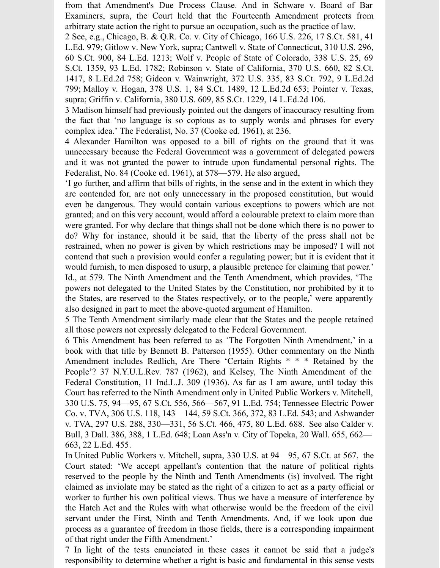from that Amendment's Due Process Clause. And in Schware v. Board of Bar Examiners, supra, the Court held that the Fourteenth Amendment protects from arbitrary state action the right to pursue an occupation, such as the practice of law.

[2](https://1.next.westlaw.com/Document/Id4c70e349c1d11d991d0cc6b54f12d4d/View/FullText.html?transitionType=UniqueDocItem&contextData=(sc.Default)&userEnteredCitation=381+us+479#co_fnRef_B00321965125098_ID0ENABG) See, e.g., Chicago, B. & Q.R. Co. v. City of Chicago, 166 U.S. 226, 17 S.Ct. 581, 41 L.Ed. 979; Gitlow v. New York, supra; Cantwell v. State of [Connecticut,](https://1.next.westlaw.com/Link/Document/FullText?findType=Y&serNum=1940125994&pubNum=708&originatingDoc=Id4c70e349c1d11d991d0cc6b54f12d4d&refType=RP&originationContext=document&transitionType=DocumentItem&ppcid=ab4473be1fc04f8a8f4519c725ecda91&contextData=(sc.UserEnteredCitation)) 310 U.S. 296, 60 S.Ct. 900, 84 L.Ed. 1213; Wolf v. People of State of Colorado, 338 U.S. 25, 69 S.Ct. 1359, 93 L.Ed. 1782; Robinson v. State of [California,](https://1.next.westlaw.com/Link/Document/FullText?findType=Y&serNum=1949199999&pubNum=708&originatingDoc=Id4c70e349c1d11d991d0cc6b54f12d4d&refType=RP&originationContext=document&transitionType=DocumentItem&ppcid=ab4473be1fc04f8a8f4519c725ecda91&contextData=(sc.UserEnteredCitation)) 370 U.S. 660, 82 S.Ct. 1417, 8 L.Ed.2d 758; Gideon v. [Wainwright,](https://1.next.westlaw.com/Link/Document/FullText?findType=Y&serNum=1963125313&pubNum=708&originatingDoc=Id4c70e349c1d11d991d0cc6b54f12d4d&refType=RP&originationContext=document&transitionType=DocumentItem&ppcid=ab4473be1fc04f8a8f4519c725ecda91&contextData=(sc.UserEnteredCitation)) 372 U.S. 335, 83 S.Ct. 792, 9 L.Ed.2d 799; Malloy v. Hogan, 378 U.S. 1, 84 S.Ct. 1489, 12 [L.Ed.2d](https://1.next.westlaw.com/Link/Document/FullText?findType=Y&serNum=1964124849&pubNum=708&originatingDoc=Id4c70e349c1d11d991d0cc6b54f12d4d&refType=RP&originationContext=document&transitionType=DocumentItem&ppcid=ab4473be1fc04f8a8f4519c725ecda91&contextData=(sc.UserEnteredCitation)) 653; Pointer v. Texas, supra; Griffin v. [California,](https://1.next.westlaw.com/Link/Document/FullText?findType=Y&serNum=1965125066&pubNum=708&originatingDoc=Id4c70e349c1d11d991d0cc6b54f12d4d&refType=RP&originationContext=document&transitionType=DocumentItem&ppcid=ab4473be1fc04f8a8f4519c725ecda91&contextData=(sc.UserEnteredCitation)) 380 U.S. 609, 85 S.Ct. 1229, 14 L.Ed.2d 106.

[3](https://1.next.westlaw.com/Document/Id4c70e349c1d11d991d0cc6b54f12d4d/View/FullText.html?transitionType=UniqueDocItem&contextData=(sc.Default)&userEnteredCitation=381+us+479#co_fnRef_B00431965125098_ID0EGEBG) Madison himself had previously pointed out the dangers of inaccuracy resulting from the fact that 'no language is so copious as to supply words and phrases for every complex idea.' The Federalist, No. 37 (Cooke ed. 1961), at 236.

[4](https://1.next.westlaw.com/Document/Id4c70e349c1d11d991d0cc6b54f12d4d/View/FullText.html?transitionType=UniqueDocItem&contextData=(sc.Default)&userEnteredCitation=381+us+479#co_fnRef_B00541965125098_ID0ESEBG) Alexander Hamilton was opposed to a bill of rights on the ground that it was unnecessary because the Federal Government was a government of delegated powers and it was not granted the power to intrude upon fundamental personal rights. The Federalist, No. 84 (Cooke ed. 1961), at 578—579. He also argued,

'I go further, and affirm that bills of rights, in the sense and in the extent in which they are contended for, are not only unnecessary in the proposed constitution, but would even be dangerous. They would contain various exceptions to powers which are not granted; and on this very account, would afford a colourable pretext to claim more than were granted. For why declare that things shall not be done which there is no power to do? Why for instance, should it be said, that the liberty of the press shall not be restrained, when no power is given by which restrictions may be imposed? I will not contend that such a provision would confer a regulating power; but it is evident that it would furnish, to men disposed to usurp, a plausible pretence for claiming that power.' Id., at 579. The Ninth Amendment and the Tenth Amendment, which provides, 'The powers not delegated to the United States by the Constitution, nor prohibited by it to the States, are reserved to the States respectively, or to the people,' were apparently

also designed in part to meet the above-quoted argument of Hamilton.

[5](https://1.next.westlaw.com/Document/Id4c70e349c1d11d991d0cc6b54f12d4d/View/FullText.html?transitionType=UniqueDocItem&contextData=(sc.Default)&userEnteredCitation=381+us+479#co_fnRef_B00651965125098_ID0E4LBG) The Tenth Amendment similarly made clear that the States and the people retained all those powers not expressly delegated to the Federal Government.

[6](https://1.next.westlaw.com/Document/Id4c70e349c1d11d991d0cc6b54f12d4d/View/FullText.html?transitionType=UniqueDocItem&contextData=(sc.Default)&userEnteredCitation=381+us+479#co_fnRef_B00761965125098_ID0EZMBG) This Amendment has been referred to as 'The Forgotten Ninth Amendment,' in a book with that title by Bennett B. Patterson (1955). Other commentary on the Ninth Amendment includes Redlich, Are There 'Certain Rights \* \* \* Retained by the People'? 37 N.Y.U.L.Rev. 787 (1962), and Kelsey, The Ninth Amendment of the Federal Constitution, 11 Ind.L.J. 309 (1936). As far as I am aware, until today this Court has referred to the Ninth [Amendment](https://1.next.westlaw.com/Link/Document/FullText?findType=Y&serNum=1947117127&pubNum=708&originatingDoc=Id4c70e349c1d11d991d0cc6b54f12d4d&refType=RP&fi=co_pp_sp_708_566&originationContext=document&transitionType=DocumentItem&ppcid=ab4473be1fc04f8a8f4519c725ecda91&contextData=(sc.UserEnteredCitation)#co_pp_sp_708_566) only in United Public Workers v. Mitchell, 330 U.S. 75, 94—95, 67 S.Ct. 556, 566—567, 91 L.Ed. 754; Tennessee Electric Power Co. v. TVA, 306 U.S. 118, 143—144, 59 S.Ct. 366, 372, 83 L.Ed. 543; and [Ashwander](https://1.next.westlaw.com/Link/Document/FullText?findType=Y&serNum=1936123029&pubNum=708&originatingDoc=Id4c70e349c1d11d991d0cc6b54f12d4d&refType=RP&fi=co_pp_sp_708_475&originationContext=document&transitionType=DocumentItem&ppcid=ab4473be1fc04f8a8f4519c725ecda91&contextData=(sc.UserEnteredCitation)#co_pp_sp_708_475) v. TVA, 297 U.S. 288, [330—331,](https://1.next.westlaw.com/Link/Document/FullText?findType=Y&serNum=1700147854&pubNum=780&originatingDoc=Id4c70e349c1d11d991d0cc6b54f12d4d&refType=RP&fi=co_pp_sp_780_388&originationContext=document&transitionType=DocumentItem&ppcid=ab4473be1fc04f8a8f4519c725ecda91&contextData=(sc.UserEnteredCitation)#co_pp_sp_780_388) 56 S.Ct. 466, 475, 80 L.Ed. 688. See also Calder v. Bull, 3 Dall. 386, 388, 1 L.Ed. 648; Loan Ass'n v. City of [Topeka,](https://1.next.westlaw.com/Link/Document/FullText?findType=Y&serNum=1874148828&pubNum=780&originatingDoc=Id4c70e349c1d11d991d0cc6b54f12d4d&refType=RP&fi=co_pp_sp_780_662&originationContext=document&transitionType=DocumentItem&ppcid=ab4473be1fc04f8a8f4519c725ecda91&contextData=(sc.UserEnteredCitation)#co_pp_sp_780_662) 20 Wall. 655, 662— 663, 22 L.Ed. 455.

In United Public Workers v. [Mitchell,](https://1.next.westlaw.com/Link/Document/FullText?findType=Y&serNum=1947117127&pubNum=708&originatingDoc=Id4c70e349c1d11d991d0cc6b54f12d4d&refType=RP&fi=co_pp_sp_708_567&originationContext=document&transitionType=DocumentItem&ppcid=ab4473be1fc04f8a8f4519c725ecda91&contextData=(sc.UserEnteredCitation)#co_pp_sp_708_567) supra, 330 U.S. at 94—95, 67 S.Ct. at 567, the Court stated: 'We accept appellant's contention that the nature of political rights reserved to the people by the Ninth and Tenth Amendments (is) involved. The right claimed as inviolate may be stated as the right of a citizen to act as a party official or worker to further his own political views. Thus we have a measure of interference by the Hatch Act and the Rules with what otherwise would be the freedom of the civil servant under the First, Ninth and Tenth Amendments. And, if we look upon due process as a guarantee of freedom in those fields, there is a corresponding impairment of that right under the Fifth Amendment.'

[7](https://1.next.westlaw.com/Document/Id4c70e349c1d11d991d0cc6b54f12d4d/View/FullText.html?transitionType=UniqueDocItem&contextData=(sc.Default)&userEnteredCitation=381+us+479#co_fnRef_B00871965125098_ID0E52BG) In light of the tests enunciated in these cases it cannot be said that a judge's responsibility to determine whether a right is basic and fundamental in this sense vests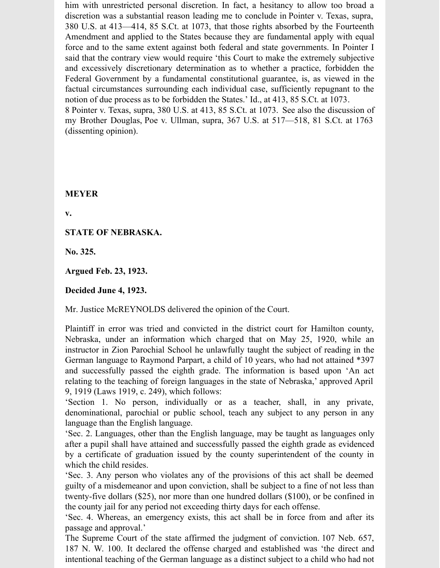him with unrestricted personal discretion. In fact, a hesitancy to allow too broad a discretion was a [substantial](https://1.next.westlaw.com/Link/Document/FullText?findType=Y&serNum=1965125051&pubNum=708&originatingDoc=Id4c70e349c1d11d991d0cc6b54f12d4d&refType=RP&fi=co_pp_sp_708_1073&originationContext=document&transitionType=DocumentItem&ppcid=ab4473be1fc04f8a8f4519c725ecda91&contextData=(sc.UserEnteredCitation)#co_pp_sp_708_1073) reason leading me to conclude in Pointer v. Texas, supra, 380 U.S. at 413—414, 85 S.Ct. at 1073, that those rights absorbed by the Fourteenth Amendment and applied to the States because they are fundamental apply with equal force and to the same extent against both federal and state governments. In Pointer I said that the contrary view would require 'this Court to make the extremely subjective and excessively discretionary determination as to whether a practice, forbidden the Federal Government by a fundamental constitutional guarantee, is, as viewed in the factual circumstances surrounding each individual case, sufficiently repugnant to the notion of due process as to be forbidden the States.' Id., at 413, 85 [S.Ct.](https://1.next.westlaw.com/Link/Document/FullText?findType=Y&serNum=1965125051&pubNum=708&originatingDoc=Id4c70e349c1d11d991d0cc6b54f12d4d&refType=RP&fi=co_pp_sp_708_1073&originationContext=document&transitionType=DocumentItem&ppcid=ab4473be1fc04f8a8f4519c725ecda91&contextData=(sc.UserEnteredCitation)#co_pp_sp_708_1073) at 1073. [8](https://1.next.westlaw.com/Document/Id4c70e349c1d11d991d0cc6b54f12d4d/View/FullText.html?transitionType=UniqueDocItem&contextData=(sc.Default)&userEnteredCitation=381+us+479#co_fnRef_B00981965125098_ID0EZGAI) [Pointer](https://1.next.westlaw.com/Link/Document/FullText?findType=Y&serNum=1965125051&pubNum=708&originatingDoc=Id4c70e349c1d11d991d0cc6b54f12d4d&refType=RP&fi=co_pp_sp_708_1073&originationContext=document&transitionType=DocumentItem&ppcid=ab4473be1fc04f8a8f4519c725ecda91&contextData=(sc.UserEnteredCitation)#co_pp_sp_708_1073) v. Texas, supra, 380 U.S. at 413, 85 S.Ct. at 1073. See also the discussion of my Brother Douglas, Poe v. Ullman, supra, 367 U.S. at [517—518,](https://1.next.westlaw.com/Link/Document/FullText?findType=Y&serNum=1961103584&pubNum=708&originatingDoc=Id4c70e349c1d11d991d0cc6b54f12d4d&refType=RP&fi=co_pp_sp_708_1763&originationContext=document&transitionType=DocumentItem&ppcid=ab4473be1fc04f8a8f4519c725ecda91&contextData=(sc.UserEnteredCitation)#co_pp_sp_708_1763) 81 S.Ct. at 1763

**MEYER**

(dissenting opinion).

**v.**

## **STATE OF NEBRASKA.**

**No. 325.**

**Argued Feb. 23, 1923.**

### **Decided June 4, 1923.**

Mr. Justice McREYNOLDS delivered the opinion of the Court.

Plaintiff in error was tried and convicted in the district court for Hamilton county, Nebraska, under an information which charged that on May 25, 1920, while an instructor in Zion Parochial School he unlawfully taught the subject of reading in the German language to Raymond Parpart, a child of 10 years, who had not attained \*397 and successfully passed the eighth grade. The information is based upon 'An act relating to the teaching of foreign languages in the state of Nebraska,' approved April 9, 1919 (Laws 1919, c. 249), which follows:

'Section 1. No person, individually or as a teacher, shall, in any private, denominational, parochial or public school, teach any subject to any person in any language than the English language.

'Sec. 2. Languages, other than the English language, may be taught as languages only after a pupil shall have attained and successfully passed the eighth grade as evidenced by a certificate of graduation issued by the county superintendent of the county in which the child resides.

'Sec. 3. Any person who violates any of the provisions of this act shall be deemed guilty of a misdemeanor and upon conviction, shall be subject to a fine of not less than twenty-five dollars (\$25), nor more than one hundred dollars (\$100), or be confined in the county jail for any period not exceeding thirty days for each offense.

'Sec. 4. Whereas, an emergency exists, this act shall be in force from and after its passage and approval.'

The Supreme Court of the state affirmed the judgment of [conviction.](https://1.next.westlaw.com/Link/Document/FullText?findType=Y&serNum=1922107251&pubNum=594&originatingDoc=Ib5b7b4d79a1011d9bdd1cfdd544ca3a4&refType=RP&originationContext=document&transitionType=DocumentItem&ppcid=36116060fed646c1bb0b2a0d35681feb&contextData=(sc.Search)) 107 Neb. 657, 187 N. W. 100. It declared the offense charged and established was 'the direct and intentional teaching of the German language as a distinct subject to a child who had not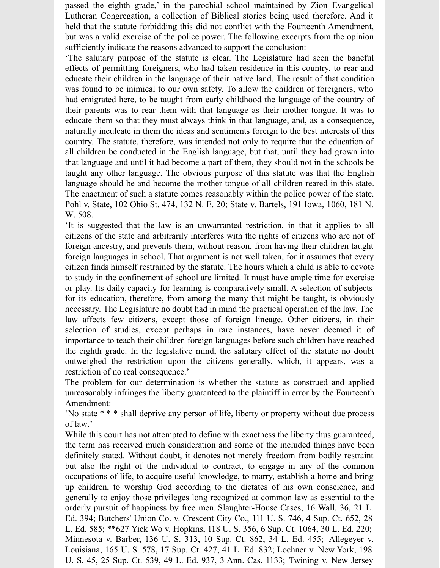passed the eighth grade,' in the parochial school maintained by Zion Evangelical Lutheran Congregation, a collection of Biblical stories being used therefore. And it held that the statute forbidding this did not conflict with the Fourteenth Amendment, but was a valid exercise of the police power. The following excerpts from the opinion sufficiently indicate the reasons advanced to support the conclusion:

'The salutary purpose of the statute is clear. The Legislature had seen the baneful effects of permitting foreigners, who had taken residence in this country, to rear and educate their children in the language of their native land. The result of that condition was found to be inimical to our own safety. To allow the children of foreigners, who had emigrated here, to be taught from early childhood the language of the country of their parents was to rear them with that language as their mother tongue. It was to educate them so that they must always think in that language, and, as a consequence, naturally inculcate in them the ideas and sentiments foreign to the best interests of this country. The statute, therefore, was intended not only to require that the education of all children be conducted in the English language, but that, until they had grown into that language and until it had become a part of them, they should not in the schools be taught any other language. The obvious purpose of this statute was that the English language should be and become the mother tongue of all children reared in this state. The enactment of such a statute comes reasonably within the police power of the state. Pohl v. [State,](https://1.next.westlaw.com/Link/Document/FullText?findType=Y&serNum=1921119082&pubNum=577&originatingDoc=Ib5b7b4d79a1011d9bdd1cfdd544ca3a4&refType=RP&originationContext=document&transitionType=DocumentItem&ppcid=36116060fed646c1bb0b2a0d35681feb&contextData=(sc.Search)) 102 Ohio St. 474, 132 N. E. 20; State v. [Bartels,](https://1.next.westlaw.com/Link/Document/FullText?findType=Y&serNum=1921104808&pubNum=594&originatingDoc=Ib5b7b4d79a1011d9bdd1cfdd544ca3a4&refType=RP&originationContext=document&transitionType=DocumentItem&ppcid=36116060fed646c1bb0b2a0d35681feb&contextData=(sc.Search)) 191 Iowa, 1060, 181 N. W. 508.

'It is suggested that the law is an unwarranted restriction, in that it applies to all citizens of the state and arbitrarily interferes with the rights of citizens who are not of foreign ancestry, and prevents them, without reason, from having their children taught foreign languages in school. That argument is not well taken, for it assumes that every citizen finds himself restrained by the statute. The hours which a child is able to devote to study in the confinement of school are limited. It must have ample time for exercise or play. Its daily capacity for learning is comparatively small. A selection of subjects for its education, therefore, from among the many that might be taught, is obviously necessary. The Legislature no doubt had in mind the practical operation of the law. The law affects few citizens, except those of foreign lineage. Other citizens, in their selection of studies, except perhaps in rare instances, have never deemed it of importance to teach their children foreign languages before such children have reached the eighth grade. In the legislative mind, the salutary effect of the statute no doubt outweighed the restriction upon the citizens generally, which, it appears, was a restriction of no real consequence.'

The problem for our determination is whether the statute as construed and applied unreasonably infringes the liberty guaranteed to the plaintiff in error by the Fourteenth Amendment:

'No state \* \* \* shall deprive any person of life, liberty or property without due process of law.'

While this court has not attempted to define with exactness the liberty thus guaranteed, the term has received much consideration and some of the included things have been definitely stated. Without doubt, it denotes not merely freedom from bodily restraint but also the right of the individual to contract, to engage in any of the common occupations of life, to acquire useful knowledge, to marry, establish a home and bring up children, to worship God according to the dictates of his own conscience, and generally to enjoy those privileges long recognized at common law as essential to the orderly pursuit of happiness by free men. [Slaughter-House](https://1.next.westlaw.com/Link/Document/FullText?findType=Y&serNum=1872196552&pubNum=780&originatingDoc=Ib5b7b4d79a1011d9bdd1cfdd544ca3a4&refType=RP&originationContext=document&transitionType=DocumentItem&ppcid=36116060fed646c1bb0b2a0d35681feb&contextData=(sc.Search)) Cases, 16 Wall. 36, 21 L. Ed. 394; [Butchers'](https://1.next.westlaw.com/Link/Document/FullText?findType=Y&serNum=1884180200&pubNum=708&originatingDoc=Ib5b7b4d79a1011d9bdd1cfdd544ca3a4&refType=RP&originationContext=document&transitionType=DocumentItem&ppcid=36116060fed646c1bb0b2a0d35681feb&contextData=(sc.Search)) Union Co. v. Crescent City Co., 111 U. S. 746, 4 Sup. Ct. 652, 28 L. Ed. 585; \*\*627 Yick Wo v. [Hopkins,](https://1.next.westlaw.com/Link/Document/FullText?findType=Y&serNum=1886180012&pubNum=708&originatingDoc=Ib5b7b4d79a1011d9bdd1cfdd544ca3a4&refType=RP&originationContext=document&transitionType=DocumentItem&ppcid=36116060fed646c1bb0b2a0d35681feb&contextData=(sc.Search)) 118 U. S. 356, 6 Sup. Ct. 1064, 30 L. Ed. 220; [Minnesota](https://1.next.westlaw.com/Link/Document/FullText?findType=Y&serNum=1897180053&pubNum=708&originatingDoc=Ib5b7b4d79a1011d9bdd1cfdd544ca3a4&refType=RP&originationContext=document&transitionType=DocumentItem&ppcid=36116060fed646c1bb0b2a0d35681feb&contextData=(sc.Search)) v. Barber, 136 U. S. 313, 10 Sup. Ct. 862, 34 L. Ed. 455; Allegeyer v. [Louisiana,](https://1.next.westlaw.com/Link/Document/FullText?findType=Y&serNum=1905100369&pubNum=708&originatingDoc=Ib5b7b4d79a1011d9bdd1cfdd544ca3a4&refType=RP&originationContext=document&transitionType=DocumentItem&ppcid=36116060fed646c1bb0b2a0d35681feb&contextData=(sc.Search)) 165 U. S. 578, 17 Sup. Ct. 427, 41 L. Ed. 832; Lochner v. New York, 198 U. S. 45, 25 Sup. Ct. 539, 49 L. Ed. 937, 3 Ann. Cas. 1133; [Twining](https://1.next.westlaw.com/Link/Document/FullText?findType=Y&serNum=1908100378&pubNum=708&originatingDoc=Ib5b7b4d79a1011d9bdd1cfdd544ca3a4&refType=RP&originationContext=document&transitionType=DocumentItem&ppcid=36116060fed646c1bb0b2a0d35681feb&contextData=(sc.Search)) v. New Jersey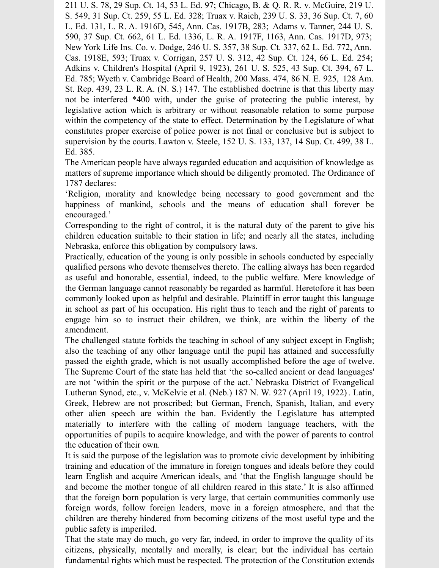211 U. S. 78, 29 Sup. Ct. 14, 53 L. Ed. 97; Chicago, B. & Q. R. R. v. [McGuire,](https://1.next.westlaw.com/Link/Document/FullText?findType=Y&serNum=1911103443&pubNum=708&originatingDoc=Ib5b7b4d79a1011d9bdd1cfdd544ca3a4&refType=RP&originationContext=document&transitionType=DocumentItem&ppcid=36116060fed646c1bb0b2a0d35681feb&contextData=(sc.Search)) 219 U. S. 549, 31 Sup. Ct. 259, 55 L. Ed. 328; Truax v. Raich, 239 U. S. 33, 36 Sup. Ct. 7, 60 L. Ed. 131, L. R. A. [1916D,](https://1.next.westlaw.com/Link/Document/FullText?findType=Y&serNum=1917100382&pubNum=708&originatingDoc=Ib5b7b4d79a1011d9bdd1cfdd544ca3a4&refType=RP&originationContext=document&transitionType=DocumentItem&ppcid=36116060fed646c1bb0b2a0d35681feb&contextData=(sc.Search)) 545, Ann. Cas. 1917B, 283; Adams v. Tanner, 244 U. S. 590, 37 Sup. Ct. 662, 61 L. Ed. 1336, L. R. A. 1917F, 1163, Ann. Cas. 1917D, 973; New York Life Ins. Co. v. Dodge, 246 U. S. 357, 38 Sup. Ct. 337, 62 L. Ed. 772, Ann. Cas. 1918E, 593; Truax v. [Corrigan,](https://1.next.westlaw.com/Link/Document/FullText?findType=Y&serNum=1921113940&pubNum=708&originatingDoc=Ib5b7b4d79a1011d9bdd1cfdd544ca3a4&refType=RP&originationContext=document&transitionType=DocumentItem&ppcid=36116060fed646c1bb0b2a0d35681feb&contextData=(sc.Search)) 257 U. S. 312, 42 Sup. Ct. 124, 66 L. Ed. 254; Adkins v. Children's Hospital (April 9, 1923), 261 U. S. 525, 43 Sup. Ct. 394, 67 L. Ed. 785; Wyeth v. [Cambridge](https://1.next.westlaw.com/Link/Document/FullText?findType=Y&serNum=1909003466&pubNum=2150&originatingDoc=Ib5b7b4d79a1011d9bdd1cfdd544ca3a4&refType=RP&originationContext=document&transitionType=DocumentItem&ppcid=36116060fed646c1bb0b2a0d35681feb&contextData=(sc.Search)) Board of Health, 200 Mass. 474, 86 N. E. 925, 128 Am. St. Rep. 439, 23 L. R. A. (N. S.) 147. The established doctrine is that this liberty may not be interfered \*400 with, under the guise of protecting the public interest, by legislative action which is arbitrary or without reasonable relation to some purpose within the competency of the state to effect. Determination by the Legislature of what constitutes proper exercise of police power is not final or conclusive but is subject to [supervision](https://1.next.westlaw.com/Link/Document/FullText?findType=Y&serNum=1894180049&pubNum=708&originatingDoc=Ib5b7b4d79a1011d9bdd1cfdd544ca3a4&refType=RP&originationContext=document&transitionType=DocumentItem&ppcid=36116060fed646c1bb0b2a0d35681feb&contextData=(sc.Search)) by the courts. Lawton v. Steele, 152 U. S. 133, 137, 14 Sup. Ct. 499, 38 L. Ed. 385.

The American people have always regarded education and acquisition of knowledge as matters of supreme importance which should be diligently promoted. The Ordinance of 1787 declares:

'Religion, morality and knowledge being necessary to good government and the happiness of mankind, schools and the means of education shall forever be encouraged.'

Corresponding to the right of control, it is the natural duty of the parent to give his children education suitable to their station in life; and nearly all the states, including Nebraska, enforce this obligation by compulsory laws.

Practically, education of the young is only possible in schools conducted by especially qualified persons who devote themselves thereto. The calling always has been regarded as useful and honorable, essential, indeed, to the public welfare. Mere knowledge of the German language cannot reasonably be regarded as harmful. Heretofore it has been commonly looked upon as helpful and desirable. Plaintiff in error taught this language in school as part of his occupation. His right thus to teach and the right of parents to engage him so to instruct their children, we think, are within the liberty of the amendment.

The challenged statute forbids the teaching in school of any subject except in English; also the teaching of any other language until the pupil has attained and successfully passed the eighth grade, which is not usually accomplished before the age of twelve. The Supreme Court of the state has held that 'the so-called ancient or dead languages' are not 'within the spirit or the purpose of the act.' Nebraska District of [Evangelical](https://1.next.westlaw.com/Link/Document/FullText?findType=Y&serNum=1922107398&pubNum=594&originatingDoc=Ib5b7b4d79a1011d9bdd1cfdd544ca3a4&refType=RP&originationContext=document&transitionType=DocumentItem&ppcid=36116060fed646c1bb0b2a0d35681feb&contextData=(sc.Search)) Lutheran Synod, etc., v. McKelvie et al. (Neb.) 187 N. W. 927 (April 19, 1922). Latin, Greek, Hebrew are not proscribed; but German, French, Spanish, Italian, and every other alien speech are within the ban. Evidently the Legislature has attempted materially to interfere with the calling of modern language teachers, with the opportunities of pupils to acquire knowledge, and with the power of parents to control the education of their own.

It is said the purpose of the legislation was to promote civic development by inhibiting training and education of the immature in foreign tongues and ideals before they could learn English and acquire American ideals, and 'that the English language should be and become the mother tongue of all children reared in this state.' It is also affirmed that the foreign born population is very large, that certain communities commonly use foreign words, follow foreign leaders, move in a foreign atmosphere, and that the children are thereby hindered from becoming citizens of the most useful type and the public safety is imperiled.

That the state may do much, go very far, indeed, in order to improve the quality of its citizens, physically, mentally and morally, is clear; but the individual has certain fundamental rights which must be respected. The protection of the Constitution extends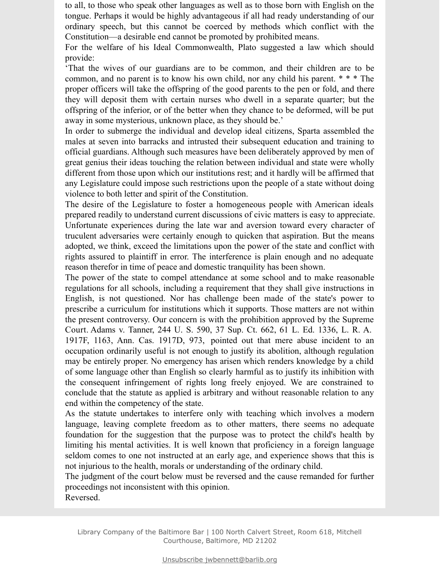to all, to those who speak other languages as well as to those born with English on the tongue. Perhaps it would be highly advantageous if all had ready understanding of our ordinary speech, but this cannot be coerced by methods which conflict with the Constitution—a desirable end cannot be promoted by prohibited means.

For the welfare of his Ideal Commonwealth, Plato suggested a law which should provide:

'That the wives of our guardians are to be common, and their children are to be common, and no parent is to know his own child, nor any child his parent. \* \* \* The proper officers will take the offspring of the good parents to the pen or fold, and there they will deposit them with certain nurses who dwell in a separate quarter; but the offspring of the inferior, or of the better when they chance to be deformed, will be put away in some mysterious, unknown place, as they should be.'

In order to submerge the individual and develop ideal citizens, Sparta assembled the males at seven into barracks and intrusted their subsequent education and training to official guardians. Although such measures have been deliberately approved by men of great genius their ideas touching the relation between individual and state were wholly different from those upon which our institutions rest; and it hardly will be affirmed that any Legislature could impose such restrictions upon the people of a state without doing violence to both letter and spirit of the Constitution.

The desire of the Legislature to foster a homogeneous people with American ideals prepared readily to understand current discussions of civic matters is easy to appreciate. Unfortunate experiences during the late war and aversion toward every character of truculent adversaries were certainly enough to quicken that aspiration. But the means adopted, we think, exceed the limitations upon the power of the state and conflict with rights assured to plaintiff in error. The interference is plain enough and no adequate reason therefor in time of peace and domestic tranquility has been shown.

The power of the state to compel attendance at some school and to make reasonable regulations for all schools, including a requirement that they shall give instructions in English, is not questioned. Nor has challenge been made of the state's power to prescribe a curriculum for institutions which it supports. Those matters are not within the present controversy. Our concern is with the prohibition approved by the Supreme Court. Adams v. Tanner, 244 U. S. 590, 37 Sup. Ct. 662, 61 L. Ed. 1336, L. R. A. 1917F, 1163, Ann. Cas. 1917D, 973, pointed out that mere abuse [incident](https://1.next.westlaw.com/Link/Document/FullText?findType=Y&serNum=1917100382&pubNum=708&originatingDoc=Ib5b7b4d79a1011d9bdd1cfdd544ca3a4&refType=RP&originationContext=document&transitionType=DocumentItem&ppcid=36116060fed646c1bb0b2a0d35681feb&contextData=(sc.Search)) to an occupation ordinarily useful is not enough to justify its abolition, although regulation may be entirely proper. No emergency has arisen which renders knowledge by a child of some language other than English so clearly harmful as to justify its inhibition with the consequent infringement of rights long freely enjoyed. We are constrained to conclude that the statute as applied is arbitrary and without reasonable relation to any end within the competency of the state.

As the statute undertakes to interfere only with teaching which involves a modern language, leaving complete freedom as to other matters, there seems no adequate foundation for the suggestion that the purpose was to protect the child's health by limiting his mental activities. It is well known that proficiency in a foreign language seldom comes to one not instructed at an early age, and experience shows that this is not injurious to the health, morals or understanding of the ordinary child.

The judgment of the court below must be reversed and the cause remanded for further proceedings not inconsistent with this opinion. Reversed.

Library Company of the Baltimore Bar | 100 North Calvert Street, Room 618, Mitchell Courthouse, Baltimore, MD 21202

Unsubscribe jwbennett@barlib.org